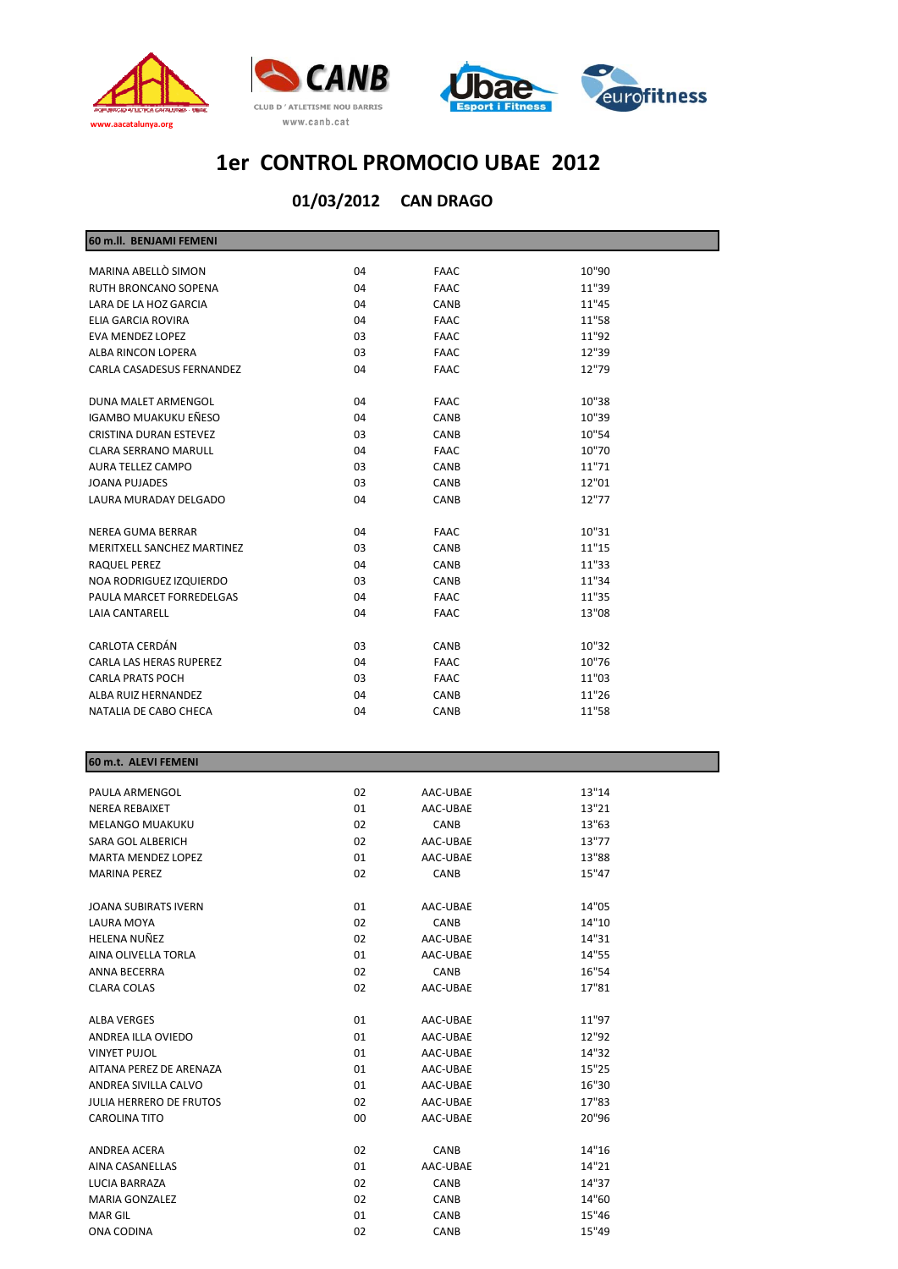





#### **CAN DRAGO 01/03/2012**

| 60 m.II. BENJAMI FEMENI       |    |             |       |  |
|-------------------------------|----|-------------|-------|--|
| MARINA ABELLÒ SIMON           | 04 | <b>FAAC</b> | 10"90 |  |
| RUTH BRONCANO SOPENA          | 04 | <b>FAAC</b> | 11"39 |  |
| LARA DE LA HOZ GARCIA         | 04 | <b>CANB</b> | 11"45 |  |
| ELIA GARCIA ROVIRA            | 04 | <b>FAAC</b> | 11"58 |  |
| <b>EVA MENDEZ LOPEZ</b>       | 03 | <b>FAAC</b> | 11"92 |  |
| ALBA RINCON LOPERA            | 03 | <b>FAAC</b> | 12"39 |  |
| CARLA CASADESUS FERNANDEZ     | 04 | <b>FAAC</b> | 12"79 |  |
| DUNA MALET ARMENGOL           | 04 | <b>FAAC</b> | 10"38 |  |
| IGAMBO MUAKUKU EÑESO          | 04 | <b>CANB</b> | 10"39 |  |
| <b>CRISTINA DURAN ESTEVEZ</b> | 03 | CANB        | 10"54 |  |
| <b>CLARA SERRANO MARULL</b>   | 04 | <b>FAAC</b> | 10"70 |  |
| AURA TELLEZ CAMPO             | 03 | <b>CANB</b> | 11"71 |  |
| <b>JOANA PUJADES</b>          | 03 | CANB        | 12"01 |  |
| LAURA MURADAY DELGADO         | 04 | CANB        | 12"77 |  |
| <b>NEREA GUMA BERRAR</b>      | 04 | <b>FAAC</b> | 10"31 |  |
| MERITXELL SANCHEZ MARTINEZ    | 03 | <b>CANB</b> | 11"15 |  |
| RAQUEL PEREZ                  | 04 | CANB        | 11"33 |  |
| NOA RODRIGUEZ IZQUIERDO       | 03 | <b>CANB</b> | 11"34 |  |
| PAULA MARCET FORREDELGAS      | 04 | <b>FAAC</b> | 11"35 |  |
| <b>LAIA CANTARELL</b>         | 04 | <b>FAAC</b> | 13"08 |  |
| CARLOTA CERDÁN                | 03 | CANB        | 10"32 |  |
| CARLA LAS HERAS RUPEREZ       | 04 | <b>FAAC</b> | 10"76 |  |
| <b>CARLA PRATS POCH</b>       | 03 | <b>FAAC</b> | 11"03 |  |
| ALBA RUIZ HERNANDEZ           | 04 | CANB        | 11"26 |  |
| NATALIA DE CABO CHECA         | 04 | <b>CANB</b> | 11"58 |  |
|                               |    |             |       |  |

#### **60 m.t. ALEVI FEMENI**

| PAULA ARMENGOL                 | 02             | AAC-UBAE | 13"14 |
|--------------------------------|----------------|----------|-------|
| <b>NEREA REBAIXET</b>          | 01             | AAC-UBAE | 13"21 |
| <b>MELANGO MUAKUKU</b>         | 02             | CANB     | 13"63 |
| SARA GOL ALBERICH              | 02             | AAC-UBAE | 13"77 |
| <b>MARTA MENDEZ LOPEZ</b>      | 01             | AAC-UBAE | 13"88 |
| <b>MARINA PEREZ</b>            | 02             | CANB     | 15"47 |
|                                |                |          |       |
| <b>JOANA SUBIRATS IVERN</b>    | 01             | AAC-UBAE | 14"05 |
| <b>LAURA MOYA</b>              | 02             | CANB     | 14"10 |
| HELENA NUÑEZ                   | 02             | AAC-UBAE | 14"31 |
| AINA OLIVELLA TORLA            | 01             | AAC-UBAE | 14"55 |
| <b>ANNA BECERRA</b>            | 02             | CANB     | 16"54 |
| <b>CLARA COLAS</b>             | 02             | AAC-UBAE | 17"81 |
|                                |                |          |       |
| <b>ALBA VERGES</b>             | 01             | AAC-UBAE | 11"97 |
| ANDREA ILLA OVIEDO             | 01             | AAC-UBAE | 12"92 |
| <b>VINYET PUJOL</b>            | 01             | AAC-UBAE | 14"32 |
| AITANA PEREZ DE ARENAZA        | 01             | AAC-UBAE | 15"25 |
| ANDREA SIVILLA CALVO           | 01             | AAC-UBAE | 16"30 |
| <b>JULIA HERRERO DE FRUTOS</b> | 02             | AAC-UBAE | 17"83 |
| <b>CAROLINA TITO</b>           | 0 <sub>0</sub> | AAC-UBAE | 20"96 |
|                                |                |          |       |
| ANDREA ACERA                   | 02             | CANB     | 14"16 |
| <b>AINA CASANELLAS</b>         | 01             | AAC-UBAE | 14"21 |
| LUCIA BARRAZA                  | 02             | CANB     | 14"37 |
| <b>MARIA GONZALEZ</b>          | 02             | CANB     | 14"60 |
| <b>MAR GIL</b>                 | 01             | CANB     | 15"46 |
| ONA CODINA                     | 02             | CANB     | 15"49 |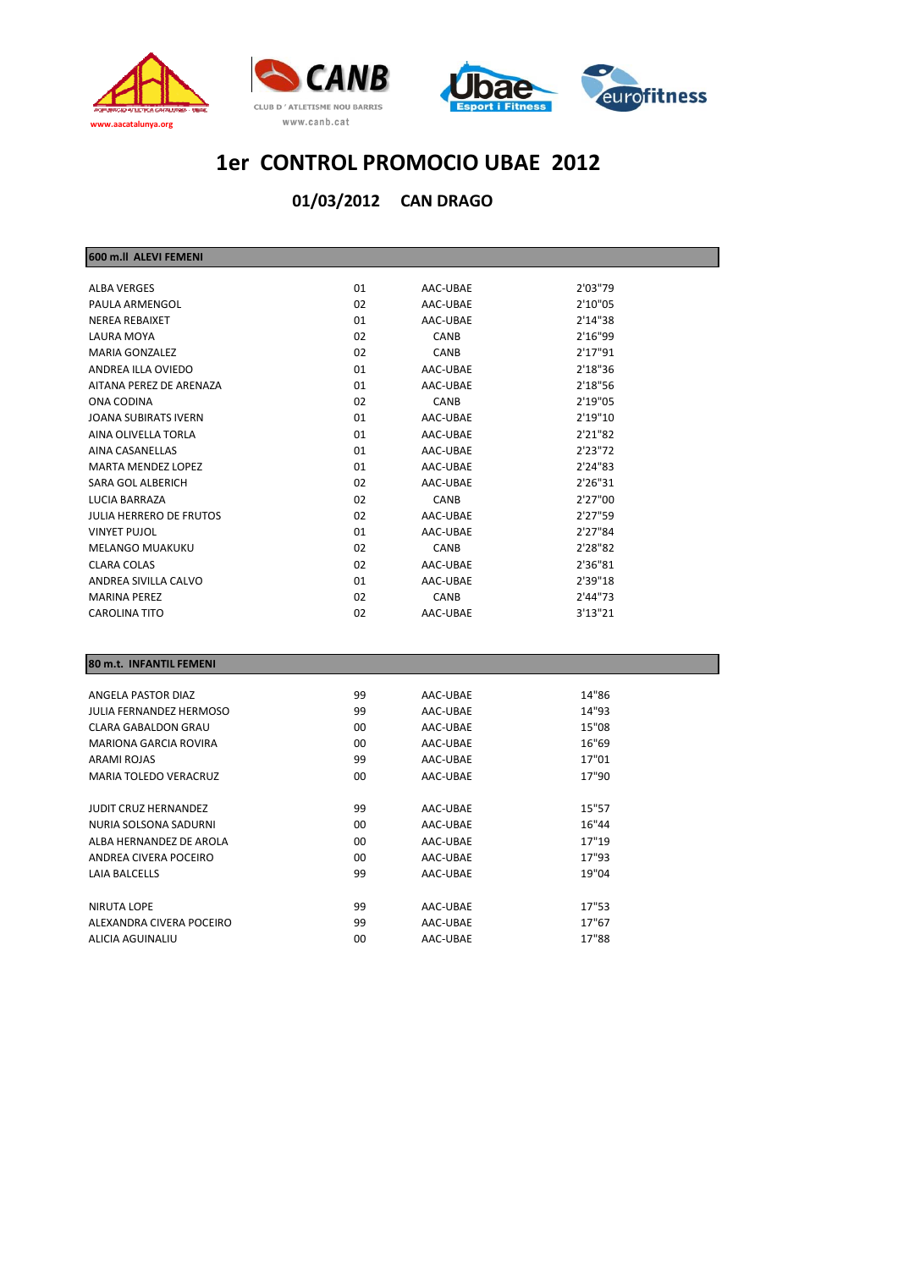





**CAN DRAGO 01/03/2012**

| 600 m.II ALEVI FEMENI          |    |             |         |
|--------------------------------|----|-------------|---------|
|                                |    |             |         |
| <b>ALBA VERGES</b>             | 01 | AAC-UBAE    | 2'03"79 |
| PAULA ARMENGOL                 | 02 | AAC-UBAE    | 2'10"05 |
| <b>NEREA REBAIXET</b>          | 01 | AAC-UBAE    | 2'14"38 |
| LAURA MOYA                     | 02 | <b>CANB</b> | 2'16"99 |
| <b>MARIA GONZALEZ</b>          | 02 | <b>CANB</b> | 2'17"91 |
| ANDREA ILLA OVIEDO             | 01 | AAC-UBAE    | 2'18"36 |
| AITANA PEREZ DE ARENAZA        | 01 | AAC-UBAE    | 2'18"56 |
| ONA CODINA                     | 02 | CANB        | 2'19"05 |
| JOANA SUBIRATS IVERN           | 01 | AAC-UBAE    | 2'19"10 |
| AINA OLIVELLA TORLA            | 01 | AAC-UBAE    | 2'21"82 |
| <b>AINA CASANELLAS</b>         | 01 | AAC-UBAE    | 2'23"72 |
| <b>MARTA MENDEZ LOPEZ</b>      | 01 | AAC-UBAE    | 2'24"83 |
| SARA GOL ALBERICH              | 02 | AAC-UBAE    | 2'26"31 |
| LUCIA BARRAZA                  | 02 | CANB        | 2'27"00 |
| <b>JULIA HERRERO DE FRUTOS</b> | 02 | AAC-UBAE    | 2'27"59 |
| <b>VINYET PUJOL</b>            | 01 | AAC-UBAE    | 2'27"84 |
| <b>MELANGO MUAKUKU</b>         | 02 | <b>CANB</b> | 2'28"82 |
| <b>CLARA COLAS</b>             | 02 | AAC-UBAE    | 2'36"81 |
| ANDREA SIVILLA CALVO           | 01 | AAC-UBAE    | 2'39"18 |
| <b>MARINA PEREZ</b>            | 02 | <b>CANB</b> | 2'44"73 |
| <b>CAROLINA TITO</b>           | 02 | AAC-UBAE    | 3'13"21 |

#### **80 m.t. INFANTIL FEMENI**

| ANGELA PASTOR DIAZ           | 99              | AAC-UBAE | 14"86 |  |
|------------------------------|-----------------|----------|-------|--|
| JULIA FERNANDEZ HERMOSO      | 99              | AAC-UBAE | 14"93 |  |
| CLARA GABALDON GRAU          | 00              | AAC-UBAE | 15"08 |  |
| <b>MARIONA GARCIA ROVIRA</b> | 00 <sup>2</sup> | AAC-UBAE | 16"69 |  |
| ARAMI ROJAS                  | 99              | AAC-UBAE | 17"01 |  |
| <b>MARIA TOLEDO VERACRUZ</b> | 00              | AAC-UBAE | 17"90 |  |
|                              |                 |          |       |  |
| <b>JUDIT CRUZ HERNANDEZ</b>  | 99              | AAC-UBAE | 15"57 |  |
| NURIA SOLSONA SADURNI        | 00              | AAC-UBAE | 16"44 |  |
| ALBA HERNANDEZ DE AROLA      | 00 <sup>2</sup> | AAC-UBAE | 17"19 |  |
| ANDREA CIVERA POCEIRO        | 00 <sup>2</sup> | AAC-UBAE | 17"93 |  |
| <b>LAIA BALCELLS</b>         | 99              | AAC-UBAE | 19"04 |  |
|                              |                 |          |       |  |
| NIRUTA LOPE                  | 99              | AAC-UBAE | 17"53 |  |
| ALEXANDRA CIVERA POCEIRO     | 99              | AAC-UBAE | 17"67 |  |
| ALICIA AGUINALIU             | 00              | AAC-UBAE | 17"88 |  |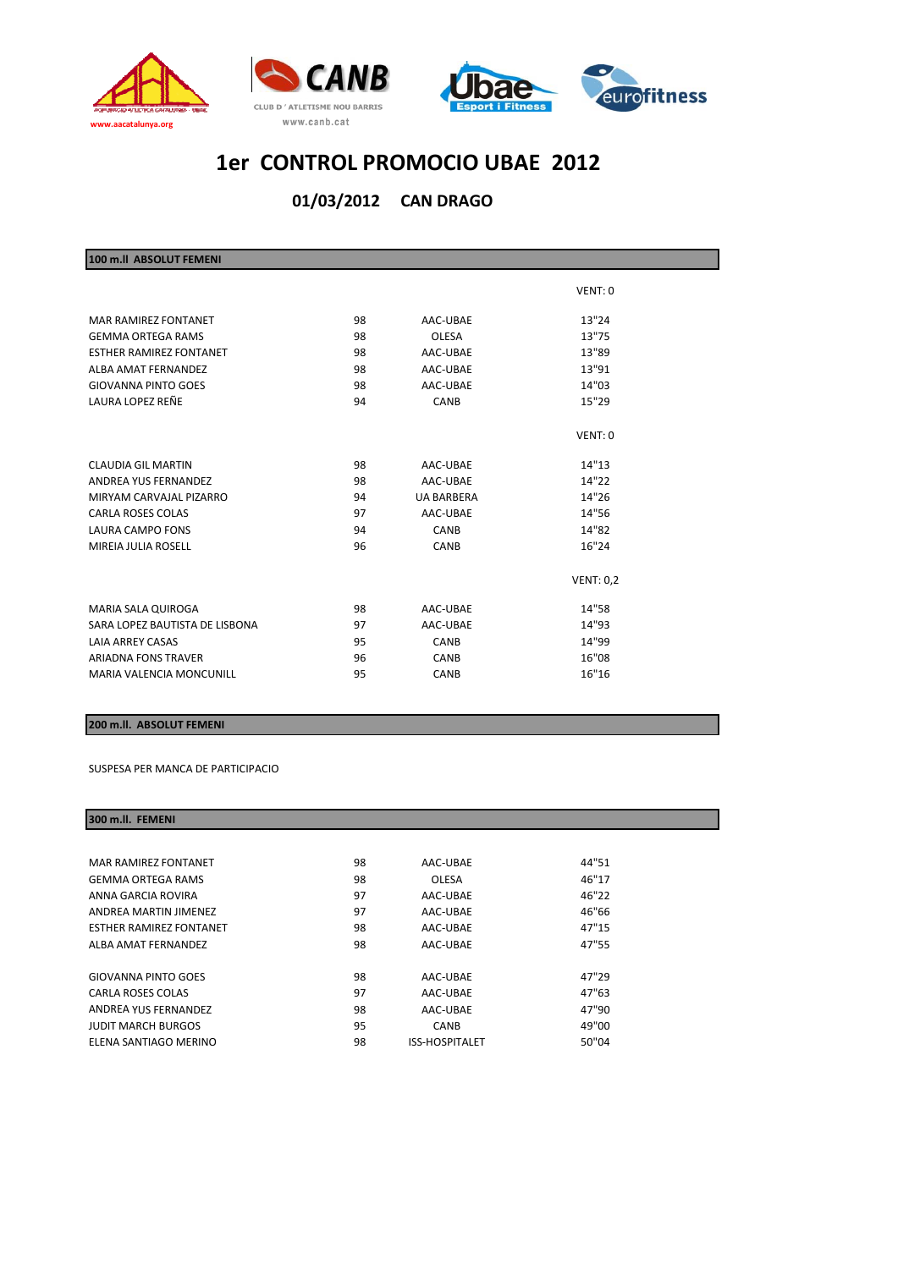



#### **CAN DRAGO 01/03/2012**

| 100 m.ll ABSOLUT FEMENI         |    |                   |                  |
|---------------------------------|----|-------------------|------------------|
|                                 |    |                   | VENT: 0          |
| <b>MAR RAMIREZ FONTANET</b>     | 98 | AAC-UBAE          | 13"24            |
| <b>GEMMA ORTEGA RAMS</b>        | 98 | <b>OLESA</b>      | 13"75            |
| <b>ESTHER RAMIREZ FONTANET</b>  | 98 | AAC-UBAE          | 13"89            |
| ALBA AMAT FERNANDEZ             | 98 | AAC-UBAE          | 13"91            |
| <b>GIOVANNA PINTO GOES</b>      | 98 | AAC-UBAE          | 14"03            |
| LAURA LOPEZ REÑE                | 94 | CANB              | 15"29            |
|                                 |    |                   | VENT: 0          |
| <b>CLAUDIA GIL MARTIN</b>       | 98 | AAC-UBAE          | 14"13            |
| ANDREA YUS FERNANDEZ            | 98 | AAC-UBAE          | 14"22            |
| MIRYAM CARVAJAL PIZARRO         | 94 | <b>UA BARBERA</b> | 14"26            |
| CARLA ROSES COLAS               | 97 | AAC-UBAE          | 14"56            |
| <b>LAURA CAMPO FONS</b>         | 94 | CANB              | 14"82            |
| MIREIA JULIA ROSELL             | 96 | <b>CANB</b>       | 16"24            |
|                                 |    |                   | <b>VENT: 0,2</b> |
| MARIA SALA QUIROGA              | 98 | AAC-UBAE          | 14"58            |
| SARA LOPEZ BAUTISTA DE LISBONA  | 97 | AAC-UBAE          | 14"93            |
| <b>LAIA ARREY CASAS</b>         | 95 | CANB              | 14"99            |
| <b>ARIADNA FONS TRAVER</b>      | 96 | <b>CANB</b>       | 16"08            |
| <b>MARIA VALENCIA MONCUNILL</b> | 95 | CANB              | 16"16            |

#### **200 m.ll. ABSOLUT FEMENI**

#### SUSPESA PER MANCA DE PARTICIPACIO

| 300 m.ll. FEMENI               |    |                       |       |  |
|--------------------------------|----|-----------------------|-------|--|
|                                |    |                       |       |  |
| <b>MAR RAMIREZ FONTANET</b>    | 98 | AAC-UBAE              | 44"51 |  |
| <b>GEMMA ORTEGA RAMS</b>       | 98 | <b>OLESA</b>          | 46"17 |  |
| ANNA GARCIA ROVIRA             | 97 | AAC-UBAE              | 46"22 |  |
| ANDREA MARTIN JIMENEZ          | 97 | AAC-UBAE              | 46"66 |  |
| <b>ESTHER RAMIREZ FONTANET</b> | 98 | AAC-UBAE              | 47"15 |  |
| ALBA AMAT FERNANDEZ            | 98 | AAC-UBAE              | 47"55 |  |
|                                |    |                       |       |  |
| <b>GIOVANNA PINTO GOES</b>     | 98 | AAC-UBAE              | 47"29 |  |
| CARLA ROSES COLAS              | 97 | AAC-UBAE              | 47"63 |  |
| ANDREA YUS FERNANDEZ           | 98 | AAC-UBAE              | 47"90 |  |
| <b>JUDIT MARCH BURGOS</b>      | 95 | <b>CANB</b>           | 49"00 |  |
| ELENA SANTIAGO MERINO          | 98 | <b>ISS-HOSPITALET</b> | 50"04 |  |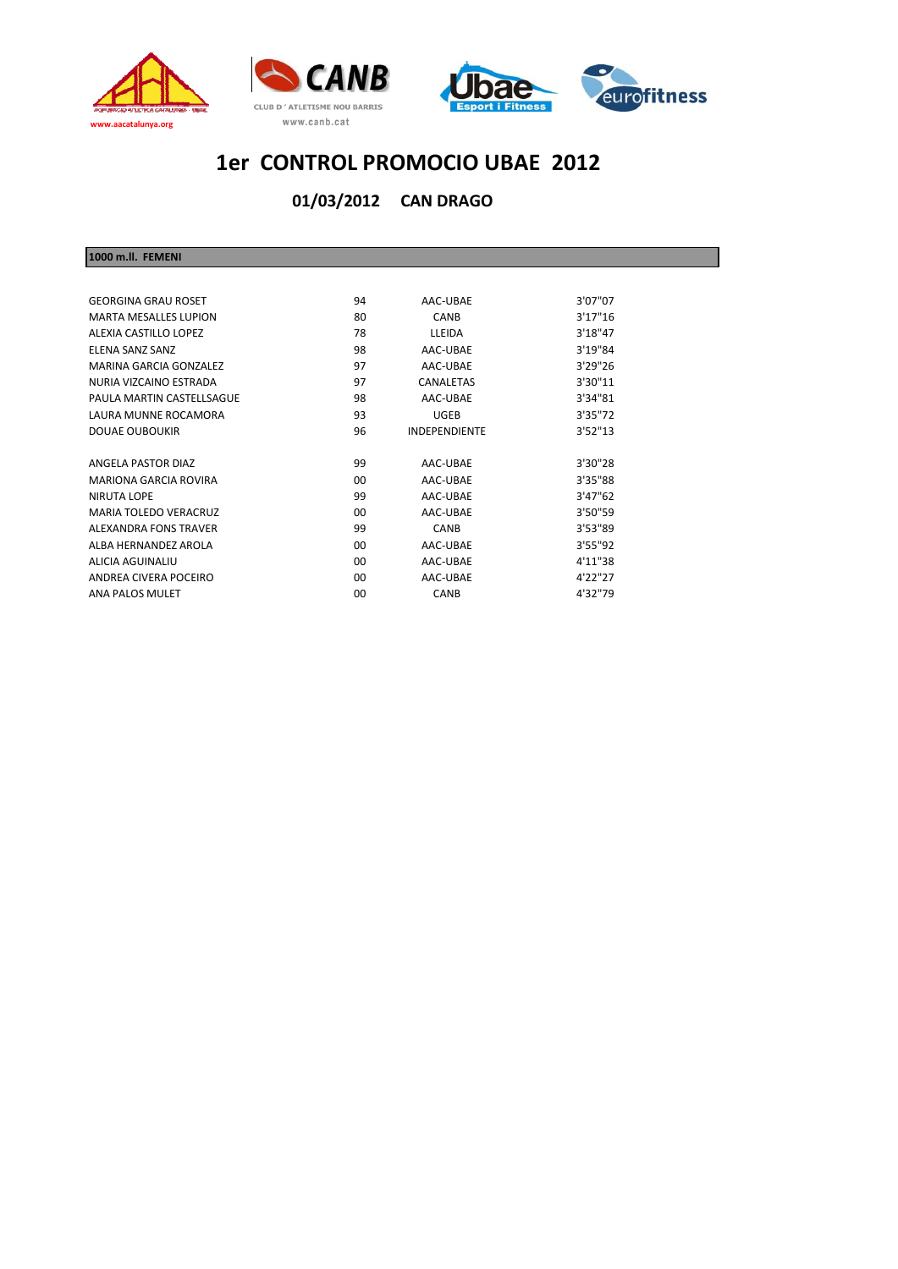





**CAN DRAGO 01/03/2012**

**1000 m.ll. FEMENI**

| <b>GEORGINA GRAU ROSET</b>   | 94 | AAC-UBAE             | 3'07"07  |
|------------------------------|----|----------------------|----------|
| MARTA MESALLES LUPION        | 80 | CANB                 | 3'17''16 |
| ALEXIA CASTILLO LOPEZ        | 78 | LLEIDA               | 3'18"47  |
| <b>FI FNA SANZ SANZ</b>      | 98 | AAC-URAF             | 3'19"84  |
| MARINA GARCIA GONZALEZ       | 97 | AAC-UBAE             | 3'29"26  |
| NURIA VIZCAINO ESTRADA       | 97 | <b>CANALETAS</b>     | 3'30"11  |
| PAULA MARTIN CASTELLSAGUE    | 98 | AAC-UBAE             | 3'34"81  |
| LAURA MUNNE ROCAMORA         | 93 | <b>UGEB</b>          | 3'35"72  |
| DOUAE OUBOUKIR               | 96 | <b>INDEPENDIENTE</b> | 3'52''13 |
|                              |    |                      |          |
| ANGELA PASTOR DIAZ           | 99 | AAC-UBAE             | 3'30"28  |
| <b>MARIONA GARCIA ROVIRA</b> | 00 | AAC-UBAE             | 3'35"88  |
| NIRUTA LOPE                  | 99 | AAC-URAF             | 3'47''62 |
| MARIA TOI FDO VERACRUZ       | n  | AAC-UBAE             | 3'50"59  |
| ALEXANDRA FONS TRAVER        | 99 | <b>CANB</b>          | 3'53"89  |
| AI RA HERNANDEZ AROI A       | 00 | AAC-UBAE             | 3'55''92 |
| ALICIA AGUINALIU             | n  | AAC-URAF             | 4'11"38  |
| ANDREA CIVERA POCEIRO        | 00 | AAC-URAF             | 4'22"27  |
| <b>ANA PALOS MULET</b>       | 00 | CANB                 | 4'32"79  |
|                              |    |                      |          |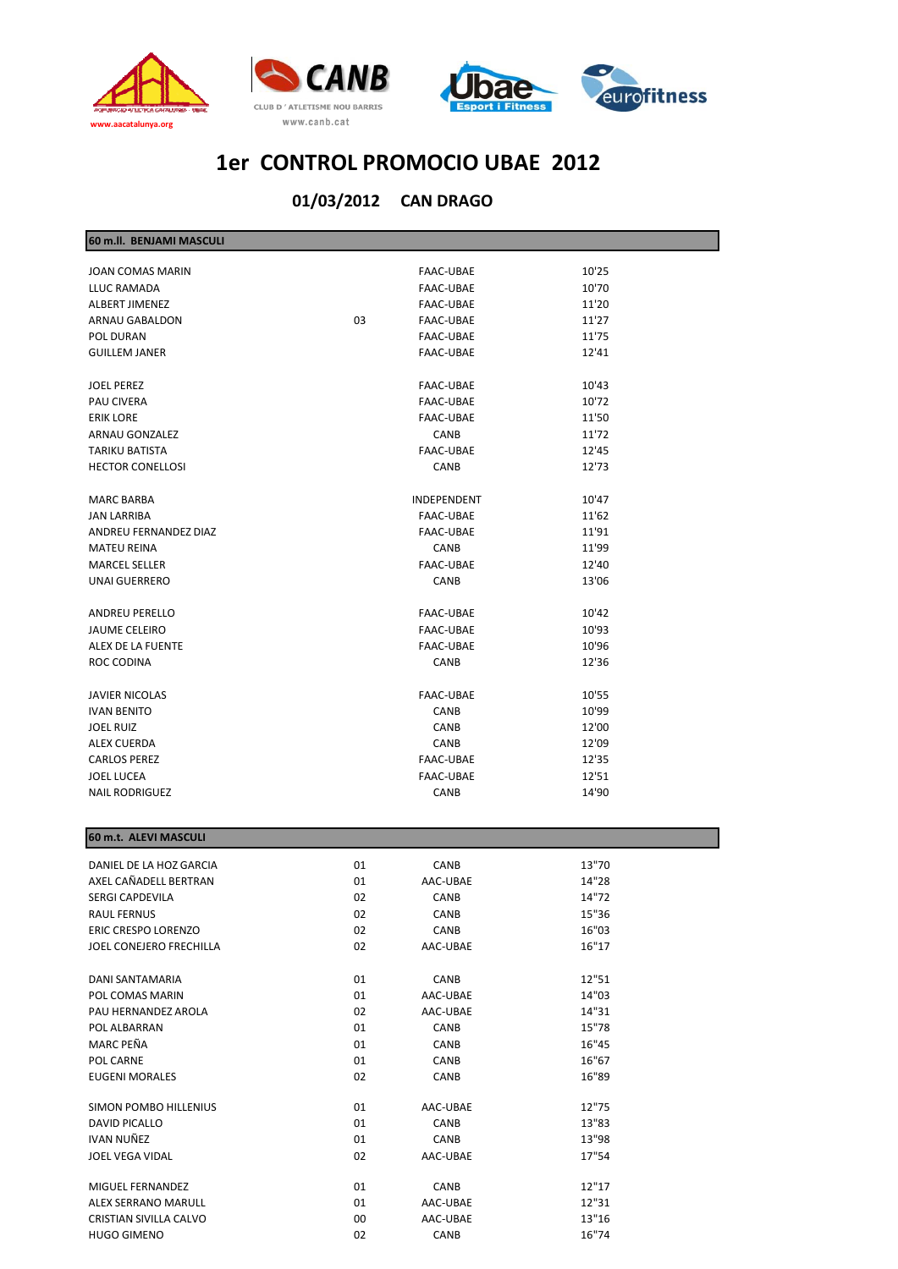





| 60 m.ll. BENJAMI MASCULI |    |                  |       |  |
|--------------------------|----|------------------|-------|--|
| JOAN COMAS MARIN         |    | FAAC-UBAE        | 10'25 |  |
| LLUC RAMADA              |    | FAAC-UBAE        | 10'70 |  |
| ALBERT JIMENEZ           |    | FAAC-UBAE        | 11'20 |  |
| ARNAU GABALDON           | 03 | FAAC-UBAE        | 11'27 |  |
| POL DURAN                |    | FAAC-UBAE        | 11'75 |  |
| <b>GUILLEM JANER</b>     |    | FAAC-UBAE        | 12'41 |  |
|                          |    |                  |       |  |
| <b>JOEL PEREZ</b>        |    | FAAC-UBAE        | 10'43 |  |
| PAU CIVERA               |    | FAAC-UBAE        | 10'72 |  |
| <b>ERIK LORE</b>         |    | FAAC-UBAE        | 11'50 |  |
| ARNAU GONZALEZ           |    | CANB             | 11'72 |  |
| TARIKU BATISTA           |    | FAAC-UBAE        | 12'45 |  |
| <b>HECTOR CONELLOSI</b>  |    | CANB             | 12'73 |  |
| <b>MARC BARBA</b>        |    | INDEPENDENT      | 10'47 |  |
| JAN LARRIBA              |    | FAAC-UBAE        | 11'62 |  |
| ANDREU FERNANDEZ DIAZ    |    | FAAC-UBAE        | 11'91 |  |
| <b>MATEU REINA</b>       |    | CANB             | 11'99 |  |
| <b>MARCEL SELLER</b>     |    | FAAC-UBAE        | 12'40 |  |
| <b>UNAI GUERRERO</b>     |    | CANB             | 13'06 |  |
|                          |    |                  |       |  |
| ANDREU PERELLO           |    | FAAC-UBAE        | 10'42 |  |
| <b>JAUME CELEIRO</b>     |    | FAAC-UBAE        | 10'93 |  |
| ALEX DE LA FUENTE        |    | <b>FAAC-UBAE</b> | 10'96 |  |
| ROC CODINA               |    | <b>CANB</b>      | 12'36 |  |
| <b>JAVIER NICOLAS</b>    |    | FAAC-UBAE        | 10'55 |  |
| <b>IVAN BENITO</b>       |    | CANB             | 10'99 |  |
| <b>JOEL RUIZ</b>         |    | CANB             | 12'00 |  |
| ALEX CUERDA              |    | CANB             | 12'09 |  |
| <b>CARLOS PEREZ</b>      |    | FAAC-UBAE        | 12'35 |  |
| JOEL LUCEA               |    | FAAC-UBAE        | 12'51 |  |
| <b>NAIL RODRIGUEZ</b>    |    | CANB             | 14'90 |  |
|                          |    |                  |       |  |
| 60 m.t. ALEVI MASCULI    |    |                  |       |  |
| DANIEL DE LA HOZ GARCIA  | 01 | CANB             | 13"70 |  |
| AXEL CAÑADELL BERTRAN    | 01 | AAC-UBAE         | 14"28 |  |
| SERGI CAPDEVILA          | 02 | CANB             | 14"72 |  |
| RAUL FERNUS              | 02 | CANB             | 15"36 |  |
| ERIC CRESPO LORENZO      | 02 | CANB             | 16"03 |  |
| JOEL CONEJERO FRECHILLA  | 02 | AAC-UBAE         | 16"17 |  |
| DANI SANTAMARIA          | 01 | CANB             | 12"51 |  |
| POL COMAS MARIN          | 01 | AAC-UBAE         | 14"03 |  |
| PAU HERNANDEZ AROLA      | 02 | AAC-UBAE         | 14"31 |  |
| POL ALBARRAN             | 01 | CANB             | 15"78 |  |
| MARC PEÑA                | 01 | CANB             | 16"45 |  |
| POL CARNE                | 01 | CANB             | 16"67 |  |
| <b>EUGENI MORALES</b>    | 02 | CANB             | 16"89 |  |
|                          |    |                  |       |  |
| SIMON POMBO HILLENIUS    | 01 | AAC-UBAE         | 12"75 |  |
| DAVID PICALLO            | 01 | CANB             | 13"83 |  |
| IVAN NUÑEZ               | 01 | CANB             | 13"98 |  |
| JOEL VEGA VIDAL          | 02 | AAC-UBAE         | 17"54 |  |
| MIGUEL FERNANDEZ         | 01 | CANB             | 12"17 |  |
| ALEX SERRANO MARULL      | 01 | AAC-UBAE         | 12"31 |  |
| CRISTIAN SIVILLA CALVO   | 00 | AAC-UBAE         | 13"16 |  |
| <b>HUGO GIMENO</b>       | 02 | CANB             | 16"74 |  |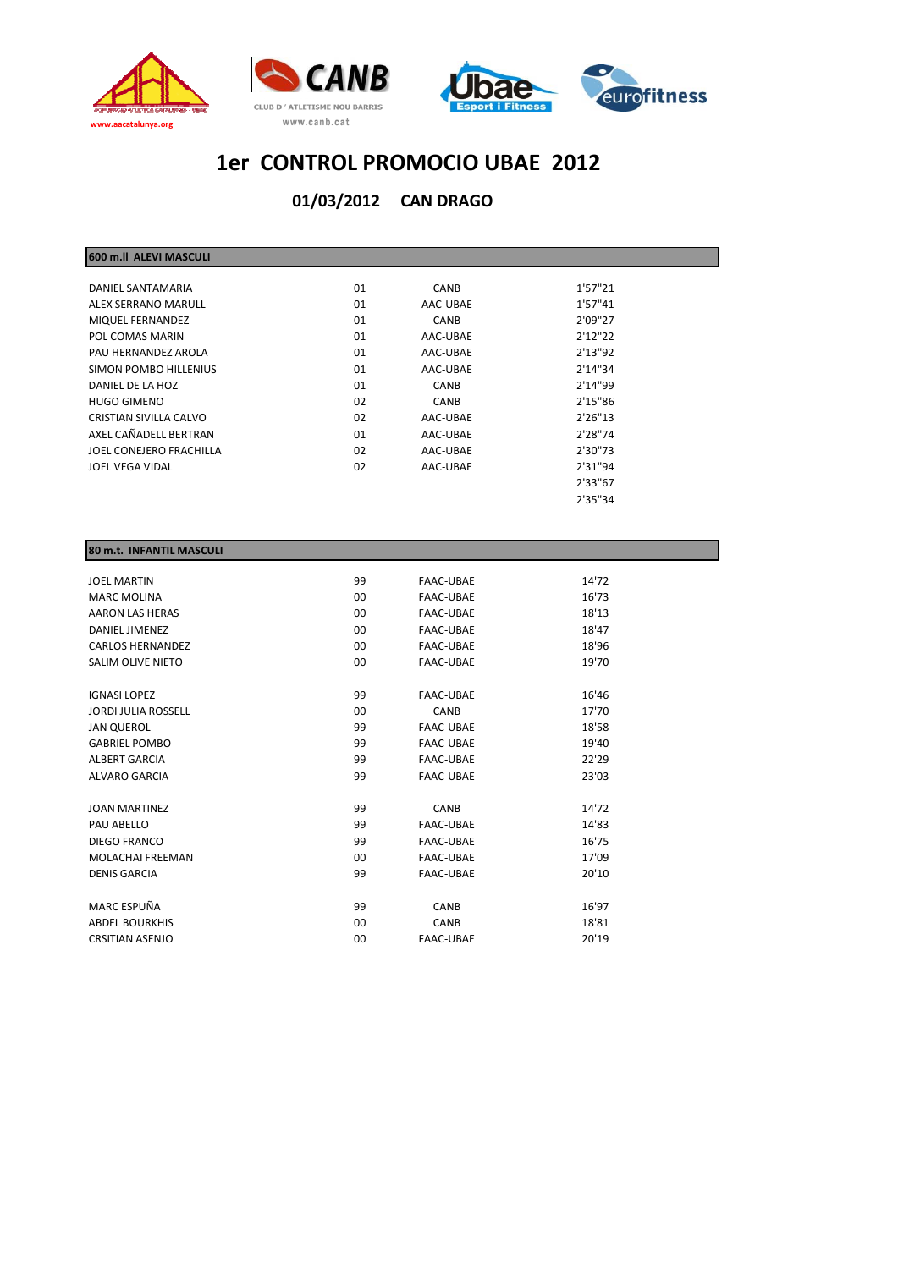



**CAN DRAGO 01/03/2012**

| 01 | <b>CANB</b> | 1'57"21  |  |
|----|-------------|----------|--|
| 01 | AAC-UBAE    | 1'57"41  |  |
| 01 | <b>CANB</b> | 2'09"27  |  |
| 01 | AAC-UBAE    | 2'12''22 |  |
| 01 | AAC-UBAE    | 2'13"92  |  |
| 01 | AAC-UBAE    | 2'14''34 |  |
| 01 | <b>CANB</b> | 2'14"99  |  |
| 02 | <b>CANB</b> | 2'15"86  |  |
| 02 | AAC-UBAE    | 2'26''13 |  |
| 01 | AAC-UBAE    | 2'28"74  |  |
| 02 | AAC-UBAE    | 2'30"73  |  |
| 02 | AAC-UBAE    | 2'31"94  |  |
|    |             | 2'33"67  |  |
|    |             | 2'35"34  |  |
|    |             |          |  |

#### **80 m.t. INFANTIL MASCULI**

**600 m.ll ALEVI MASCULI**

| <b>JOEL MARTIN</b>         | 99             | <b>FAAC-UBAE</b> | 14'72 |
|----------------------------|----------------|------------------|-------|
| <b>MARC MOLINA</b>         | 00             | <b>FAAC-UBAE</b> | 16'73 |
| <b>AARON LAS HERAS</b>     | 00             | <b>FAAC-UBAE</b> | 18'13 |
| <b>DANIEL JIMENEZ</b>      | 0 <sub>0</sub> | <b>FAAC-UBAE</b> | 18'47 |
| <b>CARLOS HERNANDEZ</b>    | 00             | <b>FAAC-UBAE</b> | 18'96 |
| SALIM OLIVE NIETO          | $00 \,$        | <b>FAAC-UBAE</b> | 19'70 |
|                            |                |                  |       |
| <b>IGNASI LOPEZ</b>        | 99             | <b>FAAC-UBAE</b> | 16'46 |
| <b>JORDI JULIA ROSSELL</b> | 00             | CANB             | 17'70 |
| <b>JAN QUEROL</b>          | 99             | <b>FAAC-UBAE</b> | 18'58 |
| <b>GABRIEL POMBO</b>       | 99             | <b>FAAC-UBAE</b> | 19'40 |
| <b>ALBERT GARCIA</b>       | 99             | <b>FAAC-UBAE</b> | 22'29 |
| <b>ALVARO GARCIA</b>       | 99             | <b>FAAC-UBAE</b> | 23'03 |
|                            |                |                  |       |
| <b>JOAN MARTINEZ</b>       | 99             | CANB             | 14'72 |
| PAU ABELLO                 | 99             | <b>FAAC-UBAE</b> | 14'83 |
| DIEGO FRANCO               | 99             | <b>FAAC-UBAE</b> | 16'75 |
| <b>MOLACHAI FREEMAN</b>    | 00             | <b>FAAC-UBAE</b> | 17'09 |
| <b>DENIS GARCIA</b>        | 99             | <b>FAAC-UBAE</b> | 20'10 |
|                            |                |                  |       |
| MARC ESPUÑA                | 99             | CANB             | 16'97 |
| <b>ABDEL BOURKHIS</b>      | 00             | CANB             | 18'81 |
| <b>CRSITIAN ASENJO</b>     | 00             | <b>FAAC-UBAE</b> | 20'19 |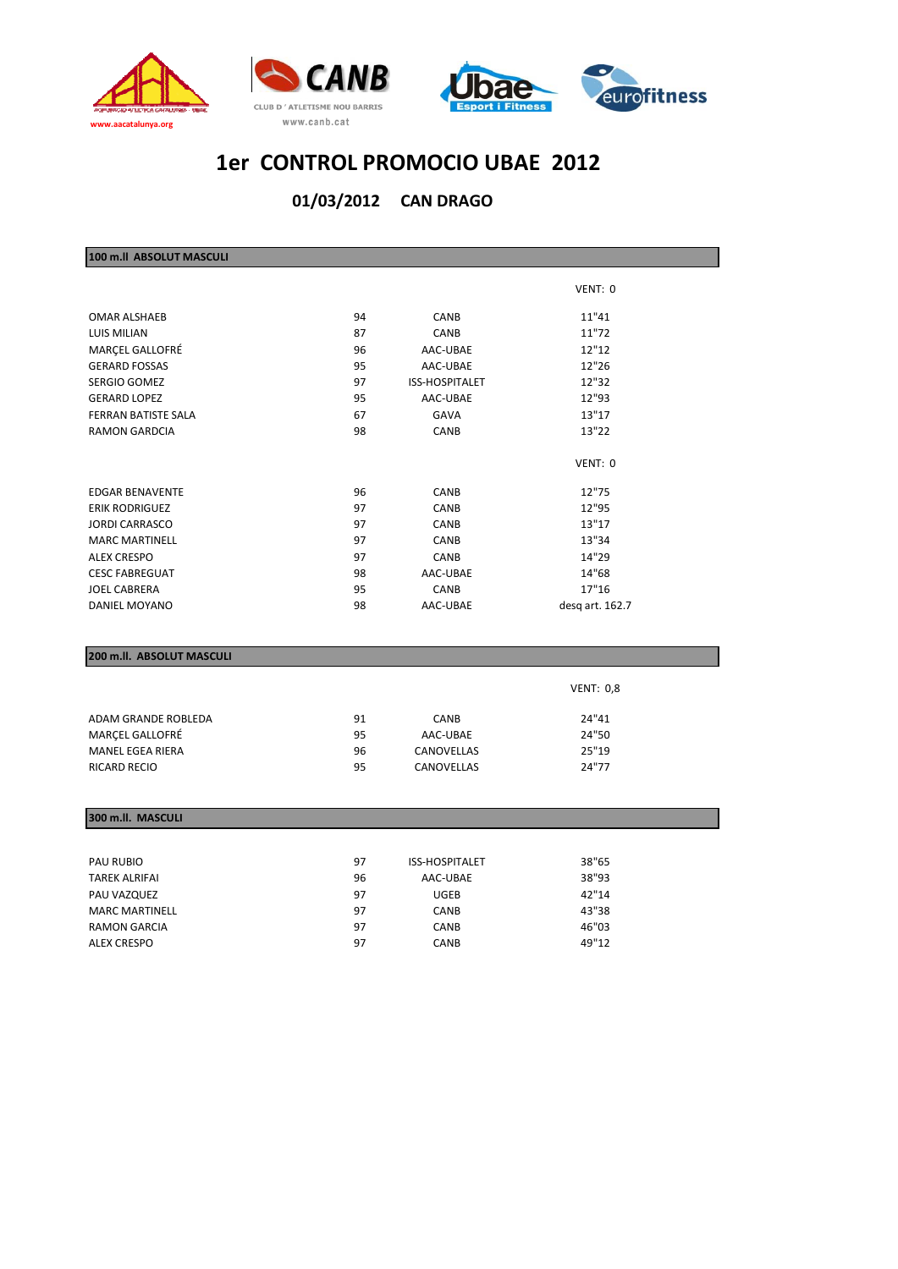



#### **CAN DRAGO 01/03/2012**

| 100 m.ll ABSOLUT MASCULI  |    |                |                  |  |
|---------------------------|----|----------------|------------------|--|
|                           |    |                |                  |  |
|                           |    |                | VENT: 0          |  |
| <b>OMAR ALSHAEB</b>       | 94 | CANB           | 11"41            |  |
| LUIS MILIAN               | 87 | CANB           | 11"72            |  |
| MARÇEL GALLOFRÉ           | 96 | AAC-UBAE       | 12"12            |  |
| <b>GERARD FOSSAS</b>      | 95 | AAC-UBAE       | 12"26            |  |
| SERGIO GOMEZ              | 97 | ISS-HOSPITALET | 12"32            |  |
| <b>GERARD LOPEZ</b>       | 95 | AAC-UBAE       | 12"93            |  |
| FERRAN BATISTE SALA       | 67 | GAVA           | 13"17            |  |
| <b>RAMON GARDCIA</b>      | 98 | CANB           | 13"22            |  |
|                           |    |                | VENT: 0          |  |
| <b>EDGAR BENAVENTE</b>    | 96 | <b>CANB</b>    | 12"75            |  |
| <b>ERIK RODRIGUEZ</b>     | 97 | CANB           | 12"95            |  |
| <b>JORDI CARRASCO</b>     | 97 | CANB           | 13"17            |  |
| <b>MARC MARTINELL</b>     | 97 | CANB           | 13"34            |  |
| <b>ALEX CRESPO</b>        | 97 | <b>CANB</b>    | 14"29            |  |
| <b>CESC FABREGUAT</b>     | 98 | AAC-UBAE       | 14"68            |  |
| <b>JOEL CABRERA</b>       | 95 | <b>CANB</b>    | 17"16            |  |
| DANIEL MOYANO             | 98 | AAC-UBAE       | desq art. 162.7  |  |
|                           |    |                |                  |  |
| 200 m.ll. ABSOLUT MASCULI |    |                |                  |  |
|                           |    |                | <b>VENT: 0,8</b> |  |
| ADAM GRANDE ROBLEDA       | 91 | CANB           | 24"41            |  |
| MARÇEL GALLOFRÉ           | 95 | AAC-UBAE       | 24"50            |  |
| <b>MANEL EGEA RIERA</b>   | 96 | CANOVELLAS     | 25"19            |  |
| <b>RICARD RECIO</b>       | 95 | CANOVELLAS     | 24"77            |  |
|                           |    |                |                  |  |
| 300 m.ll. MASCULI         |    |                |                  |  |
|                           |    |                |                  |  |
| PAU RUBIO                 | 97 | ISS-HOSPITALET | 38"65            |  |
| TAREK ALRIFAI             | 96 | AAC-UBAE       | 38"93            |  |
| PAU VAZQUEZ               | 97 | <b>UGEB</b>    | 42"14            |  |
| <b>MARC MARTINELL</b>     | 97 | CANB           | 43"38            |  |
| <b>RAMON GARCIA</b>       | 97 | CANB           | 46"03            |  |

ALEX CRESPO 97 CANB 49"12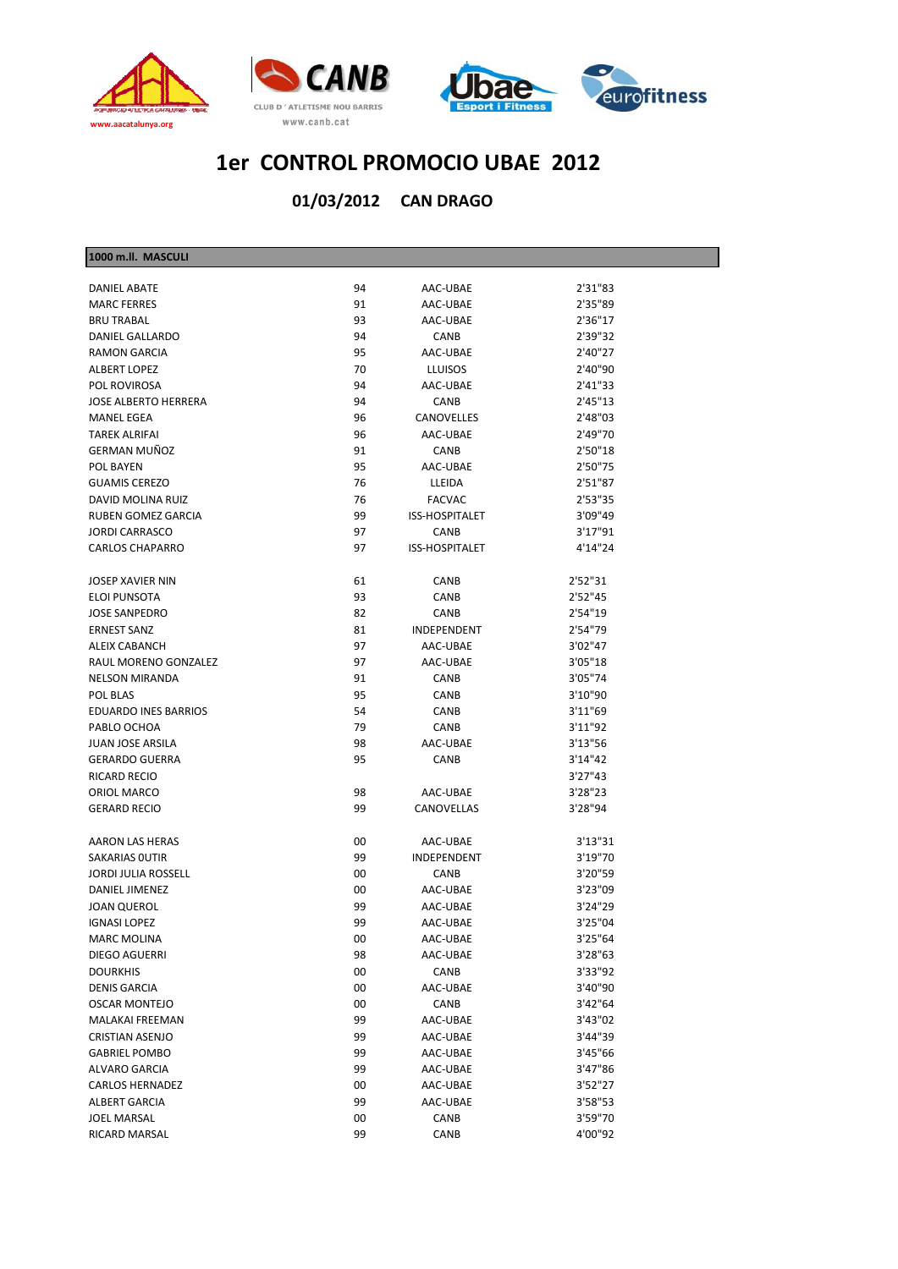

**1000 m.ll. MASCULI**





## **1er CONTROL PROMOCIO UBAE 2012**

| <b>1000 m.ii. MASCULI</b>   |    |                       |         |
|-----------------------------|----|-----------------------|---------|
| <b>DANIEL ABATE</b>         | 94 | AAC-UBAE              | 2'31"83 |
| <b>MARC FERRES</b>          | 91 | AAC-UBAE              | 2'35"89 |
| <b>BRU TRABAL</b>           | 93 | AAC-UBAE              | 2'36"17 |
| <b>DANIEL GALLARDO</b>      | 94 | CANB                  | 2'39"32 |
| <b>RAMON GARCIA</b>         | 95 | AAC-UBAE              | 2'40"27 |
| ALBERT LOPEZ                | 70 | <b>LLUISOS</b>        | 2'40"90 |
| POL ROVIROSA                | 94 | AAC-UBAE              | 2'41"33 |
| <b>JOSE ALBERTO HERRERA</b> | 94 | CANB                  | 2'45"13 |
| <b>MANEL EGEA</b>           | 96 | CANOVELLES            | 2'48"03 |
| <b>TAREK ALRIFAI</b>        | 96 | AAC-UBAE              | 2'49"70 |
| GERMAN MUÑOZ                | 91 | CANB                  | 2'50"18 |
| POL BAYEN                   | 95 | AAC-UBAE              | 2'50"75 |
| <b>GUAMIS CEREZO</b>        | 76 | LLEIDA                | 2'51"87 |
| DAVID MOLINA RUIZ           | 76 | <b>FACVAC</b>         | 2'53"35 |
| RUBEN GOMEZ GARCIA          | 99 | <b>ISS-HOSPITALET</b> | 3'09"49 |
| <b>JORDI CARRASCO</b>       | 97 | CANB                  | 3'17"91 |
| <b>CARLOS CHAPARRO</b>      | 97 | ISS-HOSPITALET        | 4'14"24 |
|                             |    |                       |         |
| JOSEP XAVIER NIN            | 61 | CANB                  | 2'52"31 |
| ELOI PUNSOTA                | 93 | CANB                  | 2'52"45 |
| <b>JOSE SANPEDRO</b>        | 82 | CANB                  | 2'54"19 |
| <b>ERNEST SANZ</b>          | 81 | <b>INDEPENDENT</b>    | 2'54"79 |
| ALEIX CABANCH               | 97 | AAC-UBAE              | 3'02"47 |
| RAUL MORENO GONZALEZ        | 97 | AAC-UBAE              | 3'05"18 |
| <b>NELSON MIRANDA</b>       | 91 | CANB                  | 3'05"74 |
| POL BLAS                    | 95 | CANB                  | 3'10"90 |
| <b>EDUARDO INES BARRIOS</b> | 54 | CANB                  | 3'11"69 |
| PABLO OCHOA                 | 79 | CANB                  | 3'11"92 |
| <b>JUAN JOSE ARSILA</b>     | 98 | AAC-UBAE              | 3'13"56 |
| <b>GERARDO GUERRA</b>       | 95 | CANB                  | 3'14"42 |
| RICARD RECIO                |    |                       | 3'27"43 |
| ORIOL MARCO                 | 98 | AAC-UBAE              | 3'28"23 |
| <b>GERARD RECIO</b>         | 99 | CANOVELLAS            | 3'28"94 |
|                             |    |                       |         |
| AARON LAS HERAS             | 00 | AAC-UBAE              | 3'13"31 |
| SAKARIAS OUTIR              | 99 | INDEPENDENT           | 3'19"70 |
| JORDI JULIA ROSSELL         | 00 | <b>CANB</b>           | 3'20"59 |
| DANIEL JIMENEZ              | 00 | AAC-UBAE              | 3'23"09 |
| JOAN QUEROL                 | 99 | AAC-UBAE              | 3'24"29 |
| <b>IGNASI LOPEZ</b>         | 99 | AAC-UBAE              | 3'25"04 |
| <b>MARC MOLINA</b>          | 00 | AAC-UBAE              | 3'25"64 |
| <b>DIEGO AGUERRI</b>        | 98 | AAC-UBAE              | 3'28"63 |
| <b>DOURKHIS</b>             | 00 | CANB                  | 3'33"92 |
| <b>DENIS GARCIA</b>         | 00 | AAC-UBAE              | 3'40"90 |
| <b>OSCAR MONTEJO</b>        | 00 | CANB                  | 3'42"64 |
| MALAKAI FREEMAN             | 99 | AAC-UBAE              | 3'43"02 |
| <b>CRISTIAN ASENJO</b>      | 99 | AAC-UBAE              | 3'44"39 |
| <b>GABRIEL POMBO</b>        | 99 | AAC-UBAE              | 3'45"66 |
| <b>ALVARO GARCIA</b>        | 99 | AAC-UBAE              | 3'47"86 |
| <b>CARLOS HERNADEZ</b>      | 00 | AAC-UBAE              | 3'52"27 |
| <b>ALBERT GARCIA</b>        | 99 | AAC-UBAE              | 3'58"53 |
| <b>JOEL MARSAL</b>          | 00 | CANB                  | 3'59"70 |
| RICARD MARSAL               | 99 | CANB                  | 4'00"92 |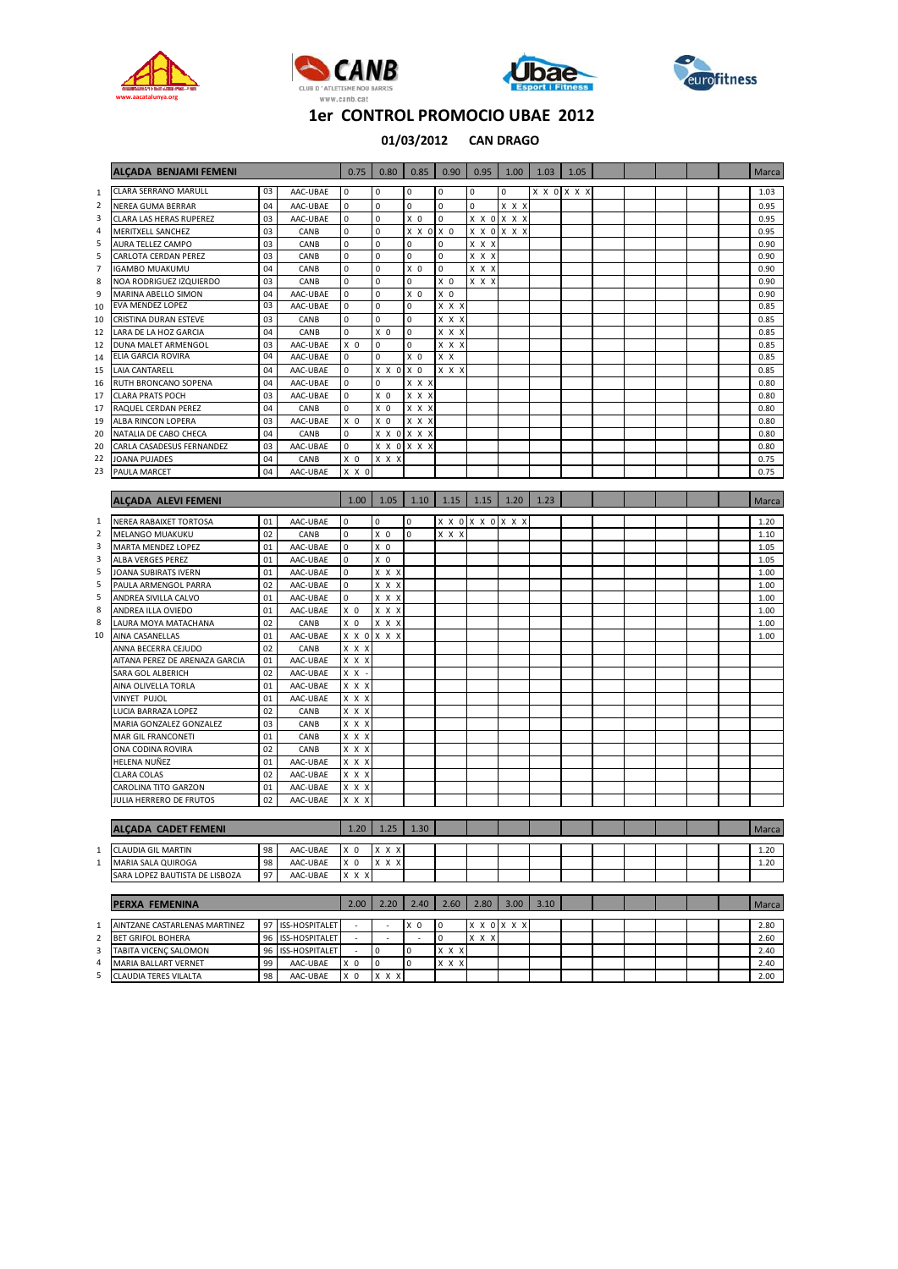







**CAN DRAGO 01/03/2012**

|              | ALCADA BENJAMI FEMENI                            |          |                   | 0.75                     | 0.80             | 0.85           | 0.90           | 0.95             | 1.00  | 1.03 | 1.05        |  |  | Marca |
|--------------|--------------------------------------------------|----------|-------------------|--------------------------|------------------|----------------|----------------|------------------|-------|------|-------------|--|--|-------|
|              |                                                  |          |                   |                          |                  |                |                |                  |       |      |             |  |  |       |
| $\mathbf{1}$ | <b>CLARA SERRANO MARULL</b>                      | 03       | AAC-UBAE          | 0                        | $\mathbf 0$      | 0              | 0              | 0                | 0     |      | X X O X X X |  |  | 1.03  |
| 2            | NEREA GUMA BERRAR                                | 04       | AAC-UBAE          | $\mathbf 0$              | $\pmb{0}$        | $\pmb{0}$      | $\pmb{0}$      | 0                | X X X |      |             |  |  | 0.95  |
| 3            | CLARA LAS HERAS RUPEREZ                          | 03       | AAC-UBAE          | $\mathbf 0$              | $\pmb{0}$        | X <sub>0</sub> | $\mathbf 0$    | X X O X X X      |       |      |             |  |  | 0.95  |
| 4            | <b>MERITXELL SANCHEZ</b>                         | 03       | CANB              | 0                        | $\pmb{0}$        | X X O          | X <sub>0</sub> | X X O X X X      |       |      |             |  |  | 0.95  |
| 5            | AURA TELLEZ CAMPO                                | 03       | CANB              | 0                        | $\mathbf 0$      | 0              | 0              | x x x            |       |      |             |  |  | 0.90  |
| 5            | CARLOTA CERDAN PEREZ                             | 03       | CANB              | 0                        | $\mathbf 0$      | 0              | 0              | x x x            |       |      |             |  |  | 0.90  |
| 7            | <b>IGAMBO MUAKUMU</b>                            | 04       | CANB              | $\mathbf 0$              | $\bf 0$          | X <sub>0</sub> | 0              | X X X            |       |      |             |  |  | 0.90  |
| 8            | NOA RODRIGUEZ IZQUIERDO                          | 03       | CANB              | $\mathbf 0$              | $\pmb{0}$        | $\pmb{0}$      | X <sub>0</sub> | X X X            |       |      |             |  |  | 0.90  |
| 9            | MARINA ABELLO SIMON                              | 04       | AAC-UBAE          | $\mathbf 0$              | $\mathbf 0$      | X 0            | X O            |                  |       |      |             |  |  | 0.90  |
| 10           | EVA MENDEZ LOPEZ                                 | 03       | AAC-UBAE          | 0                        | 0                | 0              | X X X          |                  |       |      |             |  |  | 0.85  |
| 10           | CRISTINA DURAN ESTEVE                            | 03       | CANB              | 0                        | $\mathbf 0$      | 0              | X X X          |                  |       |      |             |  |  | 0.85  |
| 12           | LARA DE LA HOZ GARCIA                            | 04       | CANB              | $\mathbf 0$              | X <sub>0</sub>   | $\pmb{0}$      | X X X          |                  |       |      |             |  |  | 0.85  |
| 12           | DUNA MALET ARMENGOL<br><b>ELIA GARCIA ROVIRA</b> | 03<br>04 | AAC-UBAE          | X <sub>0</sub>           | $\mathbf 0$      | $\pmb{0}$      | X X X          |                  |       |      |             |  |  | 0.85  |
| 14           |                                                  |          | AAC-UBAE          | 0                        | $\mathbf 0$      | X 0            | X X            |                  |       |      |             |  |  | 0.85  |
| 15           | LAIA CANTARELL                                   | 04       | AAC-UBAE          | 0                        | X X O X O        |                | X X X          |                  |       |      |             |  |  | 0.85  |
| 16           | RUTH BRONCANO SOPENA                             | 04       | AAC-UBAE          | $\mathbf 0$              | 0                | X X X          |                |                  |       |      |             |  |  | 0.80  |
| 17           | <b>CLARA PRATS POCH</b>                          | 03       | AAC-UBAE          | 0                        | X <sub>0</sub>   | X X X          |                |                  |       |      |             |  |  | 0.80  |
| 17           | RAQUEL CERDAN PEREZ                              | 04       | CANB              | $\mathbf 0$              | X <sub>0</sub>   | X X X          |                |                  |       |      |             |  |  | 0.80  |
| 19           | ALBA RINCON LOPERA                               | 03       | AAC-UBAE          | X <sub>0</sub>           | X 0              | X X X          |                |                  |       |      |             |  |  | 0.80  |
| 20           | NATALIA DE CABO CHECA                            | 04       | CANB              | $\Omega$                 | X X 0 X X X      |                |                |                  |       |      |             |  |  | 0.80  |
| 20           | CARLA CASADESUS FERNANDEZ                        | 03       | AAC-UBAE          | $\mathbf 0$              | X X O X X X      |                |                |                  |       |      |             |  |  | 0.80  |
| 22           | JOANA PUJADES                                    | 04       | CANB              | X <sub>0</sub>           | X X X            |                |                |                  |       |      |             |  |  | 0.75  |
| 23           | <b>PAULA MARCET</b>                              | 04       | AAC-UBAE          | X X O                    |                  |                |                |                  |       |      |             |  |  | 0.75  |
|              | <b>ALCADA ALEVI FEMENI</b>                       |          |                   | 1.00                     | 1.05             | 1.10           | 1.15           | 1.15             | 1.20  | 1.23 |             |  |  | Marca |
|              |                                                  |          |                   |                          |                  |                |                |                  |       |      |             |  |  |       |
| $\mathbf{1}$ | NEREA RABAIXET TORTOSA                           | 01       | AAC-UBAE          | 0                        | 0                | 0              |                | <b>XXOXXOXXX</b> |       |      |             |  |  | 1.20  |
| 2            | <b>MELANGO MUAKUKU</b>                           | 02       | CANB              | $\mathbf 0$              | X 0              | 0              | X X X          |                  |       |      |             |  |  | 1.10  |
| 3            | MARTA MENDEZ LOPEZ                               | 01       | AAC-UBAE          | $\mathbf 0$              | X <sub>0</sub>   |                |                |                  |       |      |             |  |  | 1.05  |
| 3            | <b>ALBA VERGES PEREZ</b>                         | 01       | AAC-UBAE          | $\Omega$                 | X <sub>0</sub>   |                |                |                  |       |      |             |  |  | 1.05  |
| 5            | JOANA SUBIRATS IVERN                             | 01       | AAC-UBAE          | 0                        | X X X            |                |                |                  |       |      |             |  |  | 1.00  |
| 5            | PAULA ARMENGOL PARRA                             | 02       | AAC-UBAE          | $\mathbf 0$              | X X X            |                |                |                  |       |      |             |  |  | 1.00  |
| 5            | ANDREA SIVILLA CALVO                             | 01       | AAC-UBAE          | $\mathbf 0$              | X X X            |                |                |                  |       |      |             |  |  | 1.00  |
| 8            | ANDREA ILLA OVIEDO                               | 01       | AAC-UBAE          | X <sub>0</sub>           | X X X            |                |                |                  |       |      |             |  |  | 1.00  |
| 8            | LAURA MOYA MATACHANA                             | 02       | CANB              | X 0                      | X X X            |                |                |                  |       |      |             |  |  | 1.00  |
| 10           | AINA CASANELLAS                                  | 01       | AAC-UBAE          | X X O                    | X X X            |                |                |                  |       |      |             |  |  | 1.00  |
|              | ANNA BECERRA CEJUDO                              | 02       | CANB              | X X X                    |                  |                |                |                  |       |      |             |  |  |       |
|              | AITANA PEREZ DE ARENAZA GARCIA                   | 01       | AAC-UBAE          | X X X                    |                  |                |                |                  |       |      |             |  |  |       |
|              | SARA GOL ALBERICH                                | 02       | AAC-UBAE          | X X                      |                  |                |                |                  |       |      |             |  |  |       |
|              | AINA OLIVELLA TORLA                              | 01       | AAC-UBAE          | X X X                    |                  |                |                |                  |       |      |             |  |  |       |
|              | VINYET PUJOL                                     | 01       | AAC-UBAE          | X X X                    |                  |                |                |                  |       |      |             |  |  |       |
|              | LUCIA BARRAZA LOPEZ                              | 02       | CANB              | X X X                    |                  |                |                |                  |       |      |             |  |  |       |
|              | MARIA GONZALEZ GONZALEZ                          | 03       | CANB              | X X X                    |                  |                |                |                  |       |      |             |  |  |       |
|              | MAR GIL FRANCONETI                               | 01       | CANB              | X X X                    |                  |                |                |                  |       |      |             |  |  |       |
|              | ONA CODINA ROVIRA                                | 02       | CANB              | x x x                    |                  |                |                |                  |       |      |             |  |  |       |
|              | HELENA NUÑEZ                                     | 01       | AAC-UBAE          | X X X                    |                  |                |                |                  |       |      |             |  |  |       |
|              | CLARA COLAS                                      | 02       | AAC-UBAE          | X X X                    |                  |                |                |                  |       |      |             |  |  |       |
|              | CAROLINA TITO GARZON                             | 01       | AAC-UBAE          | X X X                    |                  |                |                |                  |       |      |             |  |  |       |
|              | JULIA HERRERO DE FRUTOS                          | 02       | AAC-UBAE          | X X X                    |                  |                |                |                  |       |      |             |  |  |       |
|              |                                                  |          |                   |                          |                  |                |                |                  |       |      |             |  |  |       |
|              | ALÇADA CADET FEMENI                              |          |                   |                          | $1.20$ 1.25 1.30 |                |                |                  |       |      |             |  |  | Marca |
| $\mathbf{1}$ | <b>CLAUDIA GIL MARTIN</b>                        | 98       | AAC-UBAE          | $X$ 0                    | X X X            |                |                |                  |       |      |             |  |  | 1.20  |
| $\mathbf{1}$ | MARIA SALA QUIROGA                               | 98       | AAC-UBAE          | $X$ 0                    | X X X            |                |                |                  |       |      |             |  |  | 1.20  |
|              | SARA LOPEZ BAUTISTA DE LISBOZA                   | 97       | AAC-UBAE          | X X X                    |                  |                |                |                  |       |      |             |  |  |       |
|              |                                                  |          |                   |                          |                  |                |                |                  |       |      |             |  |  |       |
|              | PERXA FEMENINA                                   |          |                   | 2.00                     | 2.20             | 2.40           | 2.60           | 2.80             | 3.00  | 3.10 |             |  |  | Marca |
| 1            | AINTZANE CASTARLENAS MARTINEZ                    |          | 97 ISS-HOSPITALET |                          |                  | X O            | 0              | X X O X X X      |       |      |             |  |  | 2.80  |
| 2            | <b>BET GRIFOL BOHERA</b>                         |          | 96 ISS-HOSPITALET |                          |                  |                | $\mathbf 0$    | x x x            |       |      |             |  |  | 2.60  |
| 3            | TABITA VICENÇ SALOMON                            |          | 96 ISS-HOSPITALET | $\overline{\phantom{a}}$ | $\mathsf 0$      | 0              | X X X          |                  |       |      |             |  |  | 2.40  |

 MARIA BALLART VERNET 99 AAC‐UBAE X 0 0 0 X X X 2.40 CLAUDIA TERES VILALTA 98 AAC‐UBAE X 0 X X X 2.00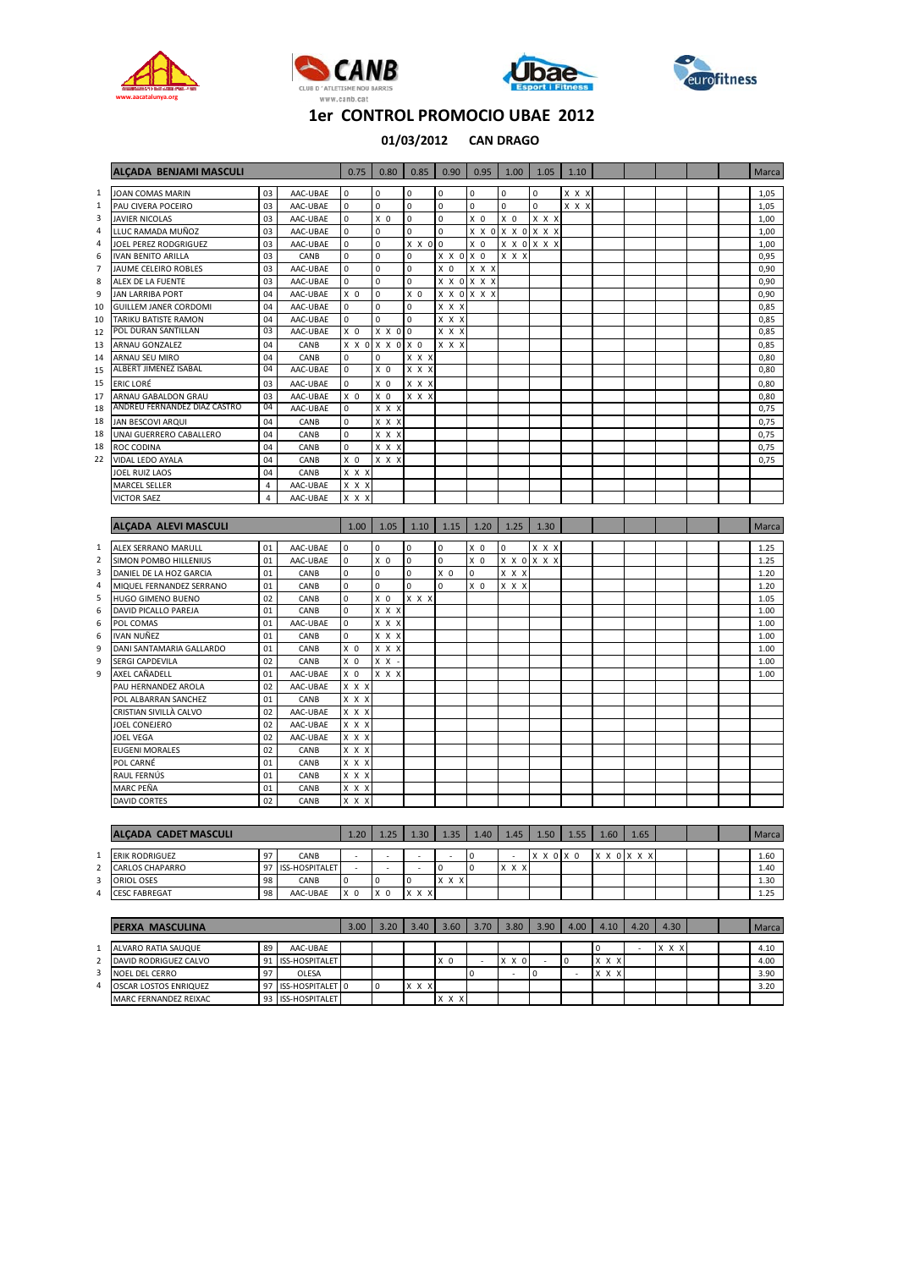







|                | ALCADA BENJAMI MASCULI             |                |                  | 0.75                       | 0.80                                         | 0.85           | 0.90           | 0.95           | 1.00              | 1.05        | 1.10  |      |             |  | Marca        |
|----------------|------------------------------------|----------------|------------------|----------------------------|----------------------------------------------|----------------|----------------|----------------|-------------------|-------------|-------|------|-------------|--|--------------|
| $\mathbf{1}$   | JOAN COMAS MARIN                   | 03             | AAC-UBAE         | $\pmb{0}$                  | $\pmb{0}$                                    | $\mathsf 0$    | $\mathbf 0$    | 0              | $\mathbf 0$       | $\mathbf 0$ | X X X |      |             |  | 1,05         |
| $\,1\,$        | PAU CIVERA POCEIRO                 | 03             | AAC-UBAE         | 0                          | $\mathbf 0$                                  | 0              | $\pmb{0}$      | 0              | 0                 | $\mathbf 0$ | x x x |      |             |  | 1,05         |
| 3              | <b>JAVIER NICOLAS</b>              | 03             | AAC-UBAE         | $\pmb{0}$                  | $X$ 0                                        | $\pmb{0}$      | $\pmb{0}$      | X <sub>0</sub> | $X$ 0             | X X X       |       |      |             |  | 1,00         |
| 4              | LLUC RAMADA MUÑOZ                  | 03             | AAC-UBAE         | 0                          | $\pmb{0}$                                    | 0              | 0              |                | X X 0 X X 0 X X X |             |       |      |             |  | 1,00         |
| 4              | JOEL PEREZ RODGRIGUEZ              | 03             | AAC-UBAE         | 0                          | 0                                            | X X O          | $\mathbf 0$    | $X$ 0          | X X O             | X X X       |       |      |             |  | 1,00         |
| 6              | <b>IVAN BENITO ARILLA</b>          | 03             | CANB             | 0                          | $\pmb{0}$                                    | 0              | X X O X O      |                | X X X             |             |       |      |             |  | 0,95         |
| $\overline{7}$ | JAUME CELEIRO ROBLES               | 03             | AAC-UBAE         | 0                          | $\pmb{0}$                                    | 0              | X <sub>0</sub> | x x x          |                   |             |       |      |             |  | 0,90         |
| 8              | ALEX DE LA FUENTE                  | 03             | AAC-UBAE         | 0                          | $\pmb{0}$                                    | $\pmb{0}$      |                | X X O X X X    |                   |             |       |      |             |  | 0,90         |
| 9              | <b>JAN LARRIBA PORT</b>            | 04             | AAC-UBAE         | X <sub>0</sub>             | $\pmb{0}$                                    | X <sub>0</sub> |                | X X O X X X    |                   |             |       |      |             |  | 0,90         |
| 10             | <b>GUILLEM JANER CORDOMI</b>       | 04             | AAC-UBAE         | 0                          | $\pmb{0}$                                    | 0              | X X X          |                |                   |             |       |      |             |  | 0,85         |
| 10             | TARIKU BATISTE RAMON               | 04             | AAC-UBAE         | 0                          | $\mathbf 0$                                  | $\mathsf 0$    | X X X          |                |                   |             |       |      |             |  | 0,85         |
| 12             | POL DURAN SANTILLAN                | 03             | AAC-UBAE         | X <sub>0</sub>             | X X O                                        | 0              | x x x          |                |                   |             |       |      |             |  | 0,85         |
| 13             | ARNAU GONZALEZ                     | 04             | CANB             |                            | X X 0 X X 0                                  | X <sub>0</sub> | X X X          |                |                   |             |       |      |             |  | 0,85         |
| 14             | ARNAU SEU MIRO                     | 04             | CANB             | $\mathbf 0$                | $\Omega$                                     | x x x          |                |                |                   |             |       |      |             |  | 0,80         |
| 15             | ALBERT JIMENEZ ISABAL              | 04             | AAC-UBAE         | $\mathbf 0$                | X <sub>0</sub>                               | X X X          |                |                |                   |             |       |      |             |  | 0,80         |
| 15             | <b>ERIC LORÉ</b>                   | 03             | AAC-UBAE         | 0                          | X <sub>0</sub>                               | x x x          |                |                |                   |             |       |      |             |  | 0,80         |
| 17             | ARNAU GABALDON GRAU                | 03             | AAC-UBAE         | X <sub>0</sub>             | $X$ 0                                        | X X X          |                |                |                   |             |       |      |             |  | 0,80         |
| 18             | ANDREU FERNANDEZ DIAZ CASTRO       | 04             | AAC-UBAE         | 0                          | $\overline{x}$ $\overline{x}$ $\overline{x}$ |                |                |                |                   |             |       |      |             |  | 0,75         |
| 18             | JAN BESCOVI ARQUI                  | 04             | CANB             | 0                          | x x x                                        |                |                |                |                   |             |       |      |             |  | 0,75         |
| 18             | UNAI GUERRERO CABALLERO            | 04             | CANB             | 0                          | $X$ $X$ $X$                                  |                |                |                |                   |             |       |      |             |  | 0,75         |
| 18             | ROC CODINA                         | 04             | CANB             | $\mathbf{0}$               | x x x                                        |                |                |                |                   |             |       |      |             |  | 0,75         |
| 22             | VIDAL LEDO AYALA                   | 04             | CANB             | X <sub>0</sub>             | X X X                                        |                |                |                |                   |             |       |      |             |  | 0,75         |
|                | JOEL RUIZ LAOS                     | 04             | CANB             | X X X                      |                                              |                |                |                |                   |             |       |      |             |  |              |
|                | MARCEL SELLER                      | $\overline{4}$ | AAC-UBAE         | X X X                      |                                              |                |                |                |                   |             |       |      |             |  |              |
|                | <b>VICTOR SAEZ</b>                 | $\overline{4}$ | AAC-UBAE         | X X X                      |                                              |                |                |                |                   |             |       |      |             |  |              |
|                |                                    |                |                  |                            |                                              |                |                |                |                   |             |       |      |             |  |              |
|                | <b>ALCADA ALEVI MASCULI</b>        |                |                  | 1.00                       | 1.05                                         | 1.10           | 1.15           | 1.20           | 1.25              | 1.30        |       |      |             |  | Marca        |
| $\mathbf{1}$   |                                    |                |                  |                            |                                              |                |                |                |                   |             |       |      |             |  |              |
|                |                                    |                |                  |                            |                                              |                |                |                | $\Omega$          |             |       |      |             |  |              |
|                | ALEX SERRANO MARULL                | 01             | AAC-UBAE         | $\mathbf 0$                | $\mathbf 0$                                  | 0              | 0              | X <sub>0</sub> |                   | X X X       |       |      |             |  | 1.25         |
| $\mathbf 2$    | SIMON POMBO HILLENIUS              | 01             | AAC-UBAE         | 0                          | X <sub>0</sub>                               | 0              | 0              | $X$ 0          |                   | X X O X X X |       |      |             |  | 1.25         |
| 3              | DANIEL DE LA HOZ GARCIA            | 01             | CANB             | $\mathbf 0$                | 0                                            | 0              | X <sub>0</sub> | $\mathbf 0$    | X X X             |             |       |      |             |  | 1.20         |
| 4              | MIQUEL FERNANDEZ SERRANO           | 01             | CANB             | 0                          | $\mathbf 0$                                  | 0              | 0              | X <sub>0</sub> | X X X             |             |       |      |             |  | 1.20         |
| 5              | HUGO GIMENO BUENO                  | 02             | CANB             | $\mathbf 0$                | $X$ 0                                        | $X$ $X$ $X$    |                |                |                   |             |       |      |             |  | 1.05         |
| 6              | DAVID PICALLO PAREJA               | 01<br>01       | CANB             | 0<br>$\pmb{0}$             | X X X                                        |                |                |                |                   |             |       |      |             |  | 1.00<br>1.00 |
| 6<br>6         | POL COMAS<br><b>IVAN NUÑEZ</b>     | 01             | AAC-UBAE<br>CANB | 0                          | x x x<br>X X X                               |                |                |                |                   |             |       |      |             |  | 1.00         |
| 9              | DANI SANTAMARIA GALLARDO           | 01             | CANB             | X <sub>0</sub>             | X X X                                        |                |                |                |                   |             |       |      |             |  | 1.00         |
| 9              | SERGI CAPDEVILA                    | 02             | CANB             | X <sub>0</sub>             | X X                                          |                |                |                |                   |             |       |      |             |  | 1.00         |
| 9              | AXEL CAÑADELL                      | 01             | AAC-UBAE         | X <sub>0</sub>             | X X X                                        |                |                |                |                   |             |       |      |             |  | 1.00         |
|                | PAU HERNANDEZ AROLA                | 02             | AAC-UBAE         | X X X                      |                                              |                |                |                |                   |             |       |      |             |  |              |
|                | POL ALBARRAN SANCHEZ               | 01             | CANB             | X X X                      |                                              |                |                |                |                   |             |       |      |             |  |              |
|                | CRISTIAN SIVILLÀ CALVO             | 02             | AAC-UBAE         | X X X                      |                                              |                |                |                |                   |             |       |      |             |  |              |
|                | JOEL CONEJERO                      | 02             | AAC-UBAE         | X X X                      |                                              |                |                |                |                   |             |       |      |             |  |              |
|                | JOEL VEGA                          | 02             | AAC-UBAE         | x x x                      |                                              |                |                |                |                   |             |       |      |             |  |              |
|                | <b>EUGENI MORALES</b>              | 02             | CANB             | X X X                      |                                              |                |                |                |                   |             |       |      |             |  |              |
|                | POL CARNÉ                          | 01             | CANB             | X X X                      |                                              |                |                |                |                   |             |       |      |             |  |              |
|                | RAUL FERNÚS                        | 01             | CANB             | X X X                      |                                              |                |                |                |                   |             |       |      |             |  |              |
|                | MARC PEÑA                          | 01             | CANB             | X X X                      |                                              |                |                |                |                   |             |       |      |             |  |              |
|                | <b>DAVID CORTES</b>                | 02             | CANB             | X X X                      |                                              |                |                |                |                   |             |       |      |             |  |              |
|                |                                    |                |                  |                            |                                              |                |                |                |                   |             |       |      |             |  |              |
|                | <b>ALÇADA CADET MASCULI</b>        |                |                  | 1.20                       | 1.25                                         | 1.30           | 1.35           | 1.40           | 1.45              | 1.50        | 1.55  | 1.60 | 1.65        |  | Marca        |
|                |                                    |                |                  |                            |                                              |                |                |                |                   |             |       |      |             |  |              |
| $\mathbf{1}$   | <b>ERIK RODRIGUEZ</b>              | 97             | CANB             |                            | ä,                                           | ä,<br>J.       |                | $\mathbf 0$    |                   | X X O X O   |       |      | X X O X X X |  | 1.60         |
| $\mathbf 2$    | CARLOS CHAPARRO                    | 97             | ISS-HOSPITALET   | Î,                         |                                              |                | 0              | $\mathbf 0$    | x x x             |             |       |      |             |  | 1.40         |
| 3<br>4         | ORIOL OSES<br><b>CESC FABREGAT</b> | 98<br>98       | CANB<br>AAC-UBAE | $\Omega$<br>X <sub>0</sub> | 0<br>X <sub>0</sub>                          | 0<br>X X X     | x x x          |                |                   |             |       |      |             |  | 1.30<br>1.25 |

|   | <b>PERXA MASCULINA</b>       |    |                  | 3.00 | 3.20 | 3.40     | 3.60  | 3.70 | 3.80     | 3.90 | 4.00 | 4.10         | $.20^{1}$ | 4.30  |  | Marca |
|---|------------------------------|----|------------------|------|------|----------|-------|------|----------|------|------|--------------|-----------|-------|--|-------|
|   |                              |    |                  |      |      |          |       |      |          |      |      |              |           |       |  |       |
|   | ALVARO RATIA SAUQUE          | 89 | AAC-UBAE         |      |      |          |       |      |          |      |      |              |           | X X X |  | 4.10  |
| ۷ | DAVID RODRIGUEZ CALVO        | 91 | ISS-HOSPITALET   |      |      |          | .x 0  |      | X O<br>x |      |      | X X X        |           |       |  | 4.00  |
|   | NOEL DEL CERRO               | 97 | OLESA            |      |      |          |       |      | -        |      |      | $x \times x$ |           |       |  | 3.90  |
| 4 | <b>OSCAR LOSTOS ENRIQUEZ</b> | 97 | ISS-HOSPITALET 0 |      |      | X X<br>X |       |      |          |      |      |              |           |       |  | 3.20  |
|   | MARC FERNANDEZ REIXAC        | 93 | ISS-HOSPITALET   |      |      |          | X X X |      |          |      |      |              |           |       |  |       |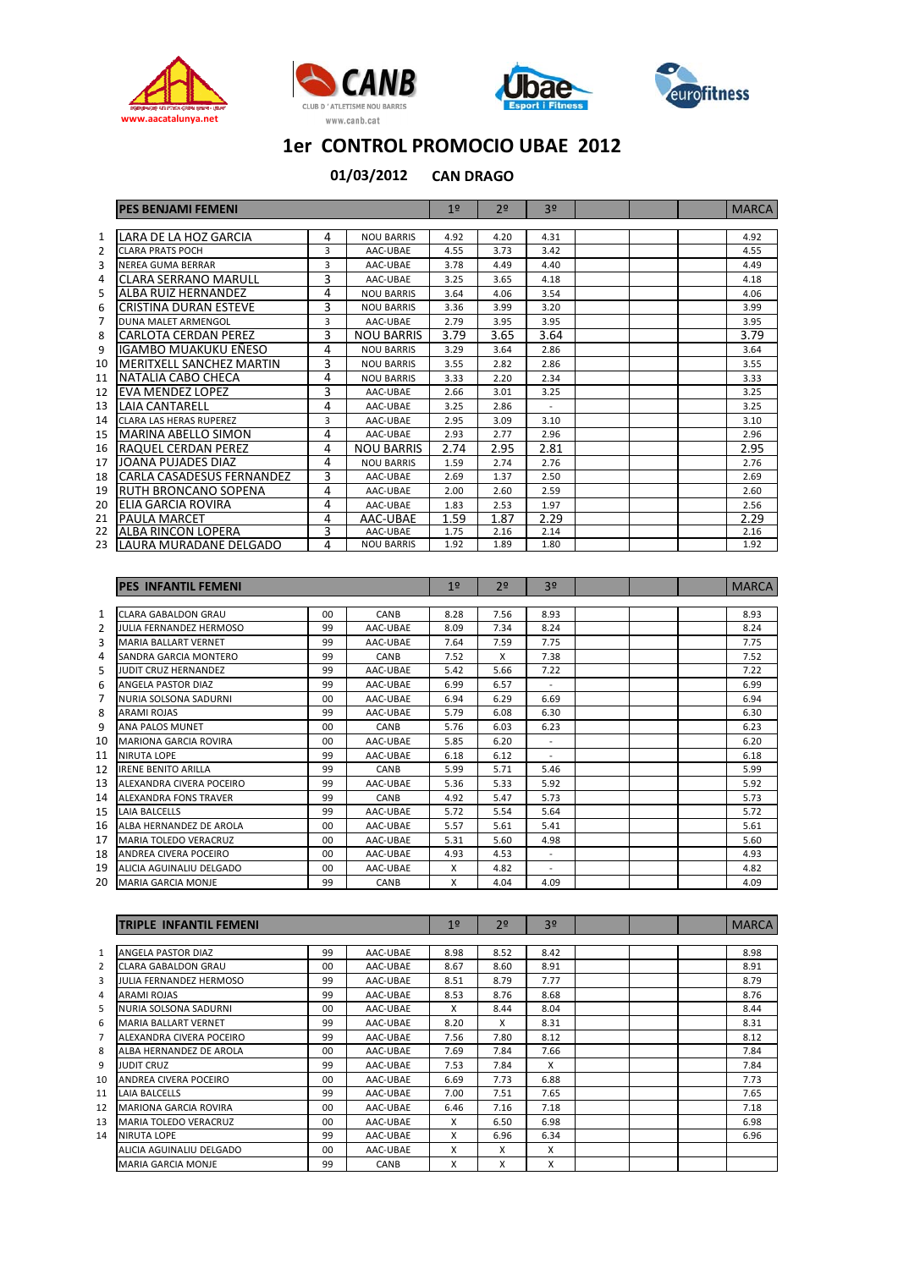







|    | <b>PES BENJAMI FEMENI</b>       |   |                   | 1 <sup>°</sup> | 2 <sup>o</sup> | 3 <sup>o</sup> |  | <b>MARCA</b> |
|----|---------------------------------|---|-------------------|----------------|----------------|----------------|--|--------------|
|    |                                 |   |                   |                |                |                |  |              |
| 1  | LARA DE LA HOZ GARCIA           | 4 | <b>NOU BARRIS</b> | 4.92           | 4.20           | 4.31           |  | 4.92         |
| 2  | <b>CLARA PRATS POCH</b>         | 3 | AAC-UBAE          | 4.55           | 3.73           | 3.42           |  | 4.55         |
| 3  | NEREA GUMA BERRAR               | 3 | AAC-UBAE          | 3.78           | 4.49           | 4.40           |  | 4.49         |
| 4  | <b>CLARA SERRANO MARULL</b>     | 3 | AAC-UBAE          | 3.25           | 3.65           | 4.18           |  | 4.18         |
| 5  | ALBA RUIZ HERNANDEZ             | 4 | <b>NOU BARRIS</b> | 3.64           | 4.06           | 3.54           |  | 4.06         |
| 6  | <b>CRISTINA DURAN ESTEVE</b>    | 3 | <b>NOU BARRIS</b> | 3.36           | 3.99           | 3.20           |  | 3.99         |
| 7  | DUNA MALET ARMENGOL             | 3 | AAC-UBAE          | 2.79           | 3.95           | 3.95           |  | 3.95         |
| 8  | <b>CARLOTA CERDAN PEREZ</b>     | 3 | <b>NOU BARRIS</b> | 3.79           | 3.65           | 3.64           |  | 3.79         |
| 9  | IGAMBO MUAKUKU EÑESO            | 4 | <b>NOU BARRIS</b> | 3.29           | 3.64           | 2.86           |  | 3.64         |
| 10 | <b>MERITXELL SANCHEZ MARTIN</b> | 3 | <b>NOU BARRIS</b> | 3.55           | 2.82           | 2.86           |  | 3.55         |
| 11 | NATALIA CABO CHECA              | 4 | <b>NOU BARRIS</b> | 3.33           | 2.20           | 2.34           |  | 3.33         |
| 12 | <b>EVA MENDEZ LOPEZ</b>         | 3 | AAC-UBAE          | 2.66           | 3.01           | 3.25           |  | 3.25         |
| 13 | <b>LAIA CANTARELL</b>           | 4 | AAC-UBAE          | 3.25           | 2.86           |                |  | 3.25         |
| 14 | <b>CLARA LAS HERAS RUPEREZ</b>  | 3 | AAC-UBAE          | 2.95           | 3.09           | 3.10           |  | 3.10         |
| 15 | <b>MARINA ABELLO SIMON</b>      | 4 | AAC-UBAE          | 2.93           | 2.77           | 2.96           |  | 2.96         |
| 16 | <b>RAQUEL CERDAN PEREZ</b>      | 4 | <b>NOU BARRIS</b> | 2.74           | 2.95           | 2.81           |  | 2.95         |
| 17 | <b>JOANA PUJADES DIAZ</b>       | 4 | <b>NOU BARRIS</b> | 1.59           | 2.74           | 2.76           |  | 2.76         |
| 18 | CARLA CASADESUS FERNANDEZ       | 3 | AAC-UBAE          | 2.69           | 1.37           | 2.50           |  | 2.69         |
| 19 | <b>RUTH BRONCANO SOPENA</b>     | 4 | AAC-UBAE          | 2.00           | 2.60           | 2.59           |  | 2.60         |
| 20 | <b>ELIA GARCIA ROVIRA</b>       | 4 | AAC-UBAE          | 1.83           | 2.53           | 1.97           |  | 2.56         |
| 21 | <b>PAULA MARCET</b>             | 4 | AAC-UBAE          | 1.59           | 1.87           | 2.29           |  | 2.29         |
| 22 | ALBA RINCON LOPERA              | 3 | AAC-UBAE          | 1.75           | 2.16           | 2.14           |  | 2.16         |
| 23 | LAURA MURADANE DELGADO          | 4 | <b>NOU BARRIS</b> | 1.92           | 1.89           | 1.80           |  | 1.92         |

|    | <b>PES INFANTIL FEMENI</b>     |                 |          | 19   | 79   | 30                       |  | <b>MARCA</b> |
|----|--------------------------------|-----------------|----------|------|------|--------------------------|--|--------------|
|    |                                |                 |          |      |      |                          |  |              |
| 1  | <b>CLARA GABALDON GRAU</b>     | 0 <sub>0</sub>  | CANB     | 8.28 | 7.56 | 8.93                     |  | 8.93         |
| 2  | <b>JULIA FERNANDEZ HERMOSO</b> | 99              | AAC-UBAE | 8.09 | 7.34 | 8.24                     |  | 8.24         |
| 3  | <b>MARIA BALLART VERNET</b>    | 99              | AAC-UBAE | 7.64 | 7.59 | 7.75                     |  | 7.75         |
| 4  | SANDRA GARCIA MONTERO          | 99              | CANB     | 7.52 | X    | 7.38                     |  | 7.52         |
| 5  | <b>JUDIT CRUZ HERNANDEZ</b>    | 99              | AAC-UBAE | 5.42 | 5.66 | 7.22                     |  | 7.22         |
| 6  | <b>ANGELA PASTOR DIAZ</b>      | 99              | AAC-UBAE | 6.99 | 6.57 |                          |  | 6.99         |
|    | NURIA SOLSONA SADURNI          | $00 \,$         | AAC-UBAE | 6.94 | 6.29 | 6.69                     |  | 6.94         |
| 8  | <b>ARAMI ROJAS</b>             | 99              | AAC-UBAE | 5.79 | 6.08 | 6.30                     |  | 6.30         |
| 9  | ANA PALOS MUNET                | 0 <sub>0</sub>  | CANB     | 5.76 | 6.03 | 6.23                     |  | 6.23         |
| 10 | <b>MARIONA GARCIA ROVIRA</b>   | $00 \,$         | AAC-UBAE | 5.85 | 6.20 | $\sim$                   |  | 6.20         |
| 11 | <b>NIRUTA LOPE</b>             | 99              | AAC-UBAE | 6.18 | 6.12 | $\overline{\phantom{a}}$ |  | 6.18         |
| 12 | <b>IRENE BENITO ARILLA</b>     | 99              | CANB     | 5.99 | 5.71 | 5.46                     |  | 5.99         |
| 13 | ALEXANDRA CIVERA POCEIRO       | 99              | AAC-UBAE | 5.36 | 5.33 | 5.92                     |  | 5.92         |
| 14 | <b>ALEXANDRA FONS TRAVER</b>   | 99              | CANB     | 4.92 | 5.47 | 5.73                     |  | 5.73         |
| 15 | <b>LAIA BALCELLS</b>           | 99              | AAC-UBAE | 5.72 | 5.54 | 5.64                     |  | 5.72         |
| 16 | ALBA HERNANDEZ DE AROLA        | 00 <sup>1</sup> | AAC-UBAE | 5.57 | 5.61 | 5.41                     |  | 5.61         |
| 17 | <b>MARIA TOLEDO VERACRUZ</b>   | $00 \,$         | AAC-UBAE | 5.31 | 5.60 | 4.98                     |  | 5.60         |
| 18 | ANDREA CIVERA POCEIRO          | 00 <sup>1</sup> | AAC-UBAE | 4.93 | 4.53 | $\sim$                   |  | 4.93         |
| 19 | ALICIA AGUINALIU DELGADO       | $00 \,$         | AAC-UBAE | X    | 4.82 | $\sim$                   |  | 4.82         |
| 20 | <b>MARIA GARCIA MONJE</b>      | 99              | CANB     | X    | 4.04 | 4.09                     |  | 4.09         |

|                | <b>TRIPLE INFANTIL FEMENI</b>  |         |          | 1 <sup>°</sup> | 2º   | 3 <sup>o</sup> |  | <b>MARCA</b> |
|----------------|--------------------------------|---------|----------|----------------|------|----------------|--|--------------|
|                |                                |         |          |                |      |                |  |              |
| $\mathbf{1}$   | ANGELA PASTOR DIAZ             | 99      | AAC-UBAE | 8.98           | 8.52 | 8.42           |  | 8.98         |
| $\overline{2}$ | CLARA GABALDON GRAU            | $00 \,$ | AAC-UBAE | 8.67           | 8.60 | 8.91           |  | 8.91         |
| 3              | <b>JULIA FERNANDEZ HERMOSO</b> | 99      | AAC-UBAE | 8.51           | 8.79 | 7.77           |  | 8.79         |
| 4              | <b>ARAMI ROJAS</b>             | 99      | AAC-UBAE | 8.53           | 8.76 | 8.68           |  | 8.76         |
| 5              | NURIA SOLSONA SADURNI          | 00      | AAC-UBAE | X              | 8.44 | 8.04           |  | 8.44         |
| 6              | <b>MARIA BALLART VERNET</b>    | 99      | AAC-UBAE | 8.20           | X    | 8.31           |  | 8.31         |
| 7              | ALEXANDRA CIVERA POCEIRO       | 99      | AAC-UBAE | 7.56           | 7.80 | 8.12           |  | 8.12         |
| 8              | ALBA HERNANDEZ DE AROLA        | $00 \,$ | AAC-UBAE | 7.69           | 7.84 | 7.66           |  | 7.84         |
| 9              | <b>JUDIT CRUZ</b>              | 99      | AAC-UBAE | 7.53           | 7.84 | X              |  | 7.84         |
| 10             | ANDREA CIVERA POCEIRO          | 00      | AAC-UBAE | 6.69           | 7.73 | 6.88           |  | 7.73         |
| 11             | LAIA BALCELLS                  | 99      | AAC-UBAE | 7.00           | 7.51 | 7.65           |  | 7.65         |
| 12             | <b>MARIONA GARCIA ROVIRA</b>   | 00      | AAC-UBAE | 6.46           | 7.16 | 7.18           |  | 7.18         |
| 13             | <b>MARIA TOLEDO VERACRUZ</b>   | 00      | AAC-UBAE | X              | 6.50 | 6.98           |  | 6.98         |
| 14             | <b>NIRUTA LOPE</b>             | 99      | AAC-UBAE | x              | 6.96 | 6.34           |  | 6.96         |
|                | ALICIA AGUINALIU DELGADO       | 00      | AAC-UBAE | X              | X    | X              |  |              |
|                | <b>MARIA GARCIA MONJE</b>      | 99      | CANB     | x              | x    | X              |  |              |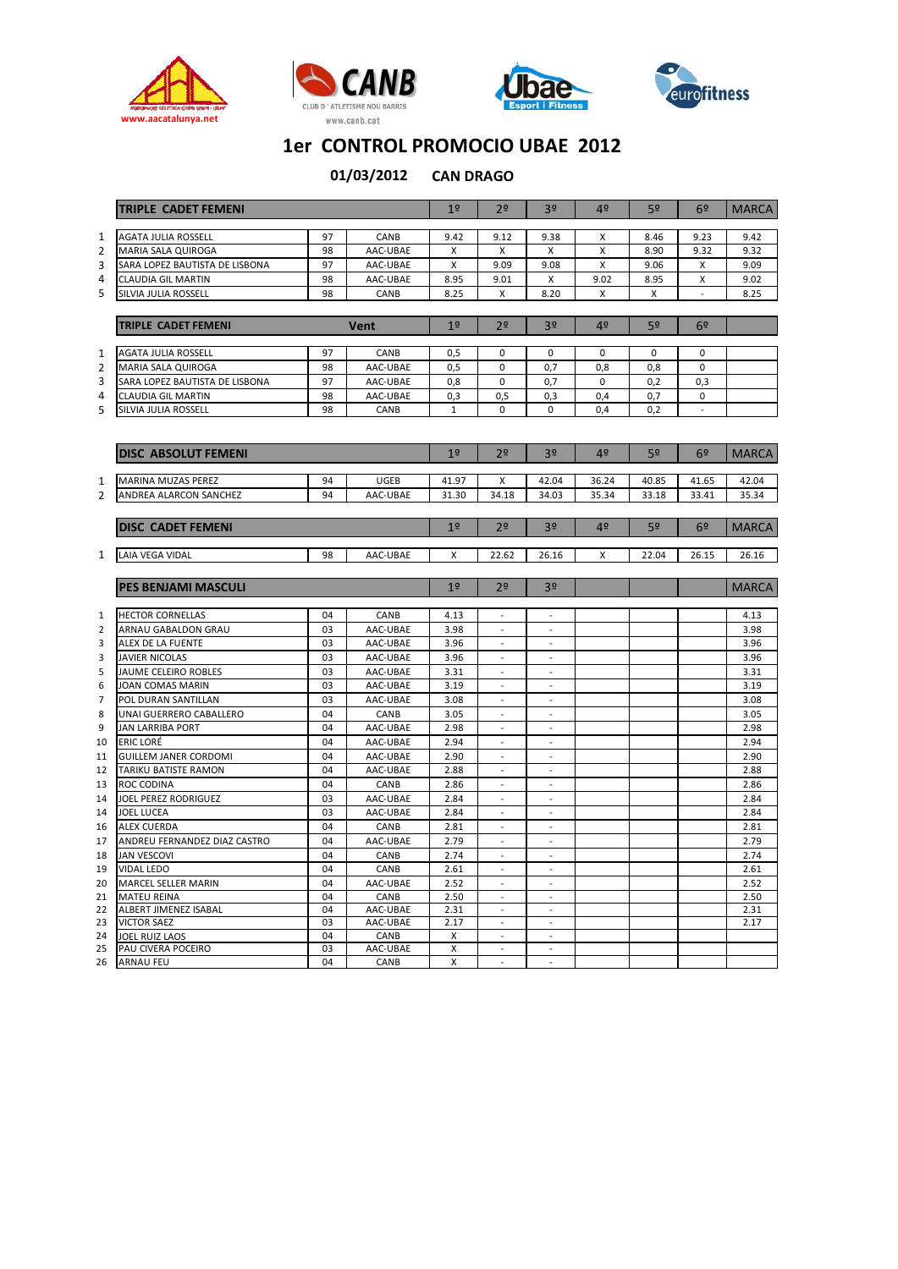







|                | <b>TRIPLE CADET FEMENI</b>                         |          |                      | 1 <sup>°</sup> | 2 <sup>o</sup>               | 3 <sup>o</sup>               | 4 <sup>°</sup> | 5 <sup>o</sup> | 6 <sup>2</sup> | <b>MARCA</b> |
|----------------|----------------------------------------------------|----------|----------------------|----------------|------------------------------|------------------------------|----------------|----------------|----------------|--------------|
|                |                                                    |          |                      |                |                              |                              |                |                |                |              |
| 1              | <b>AGATA JULIA ROSSELL</b>                         | 97       | CANB                 | 9.42           | 9.12                         | 9.38                         | X              | 8.46           | 9.23           | 9.42         |
| $\overline{2}$ | <b>MARIA SALA QUIROGA</b>                          | 98       | AAC-UBAE             | x              | X                            | X                            | X              | 8.90           | 9.32           | 9.32         |
| 3              | SARA LOPEZ BAUTISTA DE LISBONA                     | 97       | AAC-UBAE             | X              | 9.09                         | 9.08                         | X              | 9.06           | X              | 9.09         |
| 4              | <b>CLAUDIA GIL MARTIN</b>                          | 98       | AAC-UBAE             | 8.95           | 9.01                         | X                            | 9.02           | 8.95           | X              | 9.02         |
| 5              | SILVIA JULIA ROSSELL                               | 98       | CANB                 | 8.25           | X                            | 8.20                         | X              | X              | $\overline{a}$ | 8.25         |
|                |                                                    |          |                      |                |                              |                              |                |                |                |              |
|                | <b>TRIPLE CADET FEMENI</b>                         |          | Vent                 | 1 <sup>°</sup> | 2 <sup>o</sup>               | 3 <sup>o</sup>               | 4 <sup>°</sup> | 5 <sup>o</sup> | 6º             |              |
|                |                                                    |          |                      |                |                              |                              |                |                |                |              |
| 1              | <b>AGATA JULIA ROSSELL</b>                         | 97       | CANB                 | 0,5            | $\mathbf 0$                  | $\mathbf 0$                  | $\mathbf{0}$   | $\mathbf 0$    | $\mathbf 0$    |              |
| $\overline{2}$ | <b>MARIA SALA QUIROGA</b>                          | 98       | AAC-UBAE             | 0,5            | $\mathbf 0$                  | 0,7                          | 0,8            | 0,8            | $\mathbf 0$    |              |
| 3              | SARA LOPEZ BAUTISTA DE LISBONA                     | 97       | AAC-UBAE             | 0,8            | $\mathbf 0$                  | 0,7                          | $\mathbf 0$    | 0,2            | 0,3            |              |
| 4              | <b>CLAUDIA GIL MARTIN</b>                          | 98       | AAC-UBAE             | 0,3            | 0,5                          | 0,3                          | 0,4            | 0,7            | 0              |              |
| 5              | SILVIA JULIA ROSSELL                               | 98       | CANB                 | $\mathbf{1}$   | 0                            | $\pmb{0}$                    | 0,4            | 0,2            |                |              |
|                |                                                    |          |                      |                |                              |                              |                |                |                |              |
|                | <b>DISC ABSOLUT FEMENI</b>                         |          |                      | 1 <sup>°</sup> | 2 <sup>o</sup>               | 3 <sup>o</sup>               | 4 <sup>°</sup> | 5 <sup>o</sup> | 6 <sup>9</sup> | <b>MARCA</b> |
| 1              | MARINA MUZAS PEREZ                                 | 94       | UGEB                 | 41.97          | X                            | 42.04                        | 36.24          | 40.85          | 41.65          | 42.04        |
| $\overline{2}$ | ANDREA ALARCON SANCHEZ                             | 94       | AAC-UBAE             | 31.30          | 34.18                        | 34.03                        | 35.34          | 33.18          | 33.41          | 35.34        |
|                |                                                    |          |                      |                |                              |                              |                |                |                |              |
|                | <b>DISC CADET FEMENI</b>                           |          |                      | 1 <sup>°</sup> | 2 <sup>o</sup>               | 3 <sup>o</sup>               | 4 <sup>°</sup> | 5 <sup>o</sup> | 6 <sup>2</sup> | <b>MARCA</b> |
|                |                                                    |          |                      |                |                              |                              |                |                |                |              |
| 1              | LAIA VEGA VIDAL                                    | 98       | AAC-UBAE             | X              | 22.62                        | 26.16                        | X              | 22.04          | 26.15          | 26.16        |
|                | <b>PES BENJAMI MASCULI</b>                         |          |                      | 1 <sup>°</sup> | 2 <sup>o</sup>               | 3 <sup>o</sup>               |                |                |                | <b>MARCA</b> |
|                |                                                    |          |                      |                |                              |                              |                |                |                |              |
|                |                                                    |          |                      |                |                              |                              |                |                |                |              |
| 1              |                                                    | 04       | CANB                 | 4.13           | $\overline{a}$               | $\overline{a}$               |                |                |                | 4.13         |
| $\overline{2}$ | <b>HECTOR CORNELLAS</b>                            | 03       |                      |                | $\overline{a}$               | $\overline{a}$               |                |                |                | 3.98         |
| 3              | ARNAU GABALDON GRAU<br>ALEX DE LA FUENTE           | 03       | AAC-UBAE<br>AAC-UBAE | 3.98<br>3.96   | $\overline{\phantom{a}}$     | $\sim$                       |                |                |                | 3.96         |
| 3              |                                                    | 03       |                      |                |                              |                              |                |                |                | 3.96         |
| 5              | <b>JAVIER NICOLAS</b><br>JAUME CELEIRO ROBLES      | 03       | AAC-UBAE<br>AAC-UBAE | 3.96<br>3.31   | $\overline{a}$               | $\overline{a}$               |                |                |                | 3.31         |
| 6              | <b>JOAN COMAS MARIN</b>                            | 03       | AAC-UBAE             | 3.19           | $\overline{a}$               | $\overline{a}$               |                |                |                | 3.19         |
| $\overline{7}$ | POL DURAN SANTILLAN                                | 03       | AAC-UBAE             | 3.08           | $\qquad \qquad \blacksquare$ |                              |                |                |                | 3.08         |
| 8              | UNAI GUERRERO CABALLERO                            | 04       | CANB                 | 3.05           | J.                           | $\overline{a}$               |                |                |                | 3.05         |
| 9              | <b>JAN LARRIBA PORT</b>                            | 04       | AAC-UBAE             | 2.98           | $\overline{a}$               | $\overline{a}$               |                |                |                | 2.98         |
| 10             | <b>ERIC LORÉ</b>                                   | 04       | AAC-UBAE             | 2.94           |                              |                              |                |                |                | 2.94         |
| 11             | <b>GUILLEM JANER CORDOMI</b>                       | 04       | AAC-UBAE             | 2.90           |                              |                              |                |                |                | 2.90         |
| 12             | TARIKU BATISTE RAMON                               | 04       | AAC-UBAE             | 2.88           | $\overline{a}$               | $\overline{a}$               |                |                |                | 2.88         |
| 13             | <b>ROC CODINA</b>                                  | 04       | CANB                 | 2.86           | $\overline{a}$               | $\overline{a}$               |                |                |                | 2.86         |
| 14             |                                                    | 03       |                      |                | $\overline{a}$               | $\sim$                       |                |                |                |              |
|                | JOEL PEREZ RODRIGUEZ                               |          | AAC-UBAE             | 2.84           |                              |                              |                |                |                | 2.84         |
| 14             | <b>JOEL LUCEA</b>                                  | 03       | AAC-UBAE             | 2.84           | $\overline{a}$               | $\overline{a}$               |                |                |                | 2.84         |
| 16             | <b>ALEX CUERDA</b>                                 | 04       | CANB                 | 2.81           | $\overline{a}$               | L.                           |                |                |                | 2.81         |
| 17<br>18       | ANDREU FERNANDEZ DIAZ CASTRO<br><b>JAN VESCOVI</b> | 04<br>04 | AAC-UBAE<br>CANB     | 2.79<br>2.74   | $\overline{\phantom{a}}$     | $\overline{a}$               |                |                |                | 2.79<br>2.74 |
| 19             | <b>VIDAL LEDO</b>                                  | 04       | CANB                 | 2.61           |                              |                              |                |                |                | 2.61         |
| 20             |                                                    | 04       |                      |                | $\overline{a}$               | $\mathcal{L}$                |                |                |                |              |
| 21             | MARCEL SELLER MARIN<br><b>MATEU REINA</b>          | 04       | AAC-UBAE<br>CANB     | 2.52<br>2.50   | $\overline{\phantom{a}}$     | $\qquad \qquad \blacksquare$ |                |                |                | 2.52<br>2.50 |
| 22             | ALBERT JIMENEZ ISABAL                              | 04       | AAC-UBAE             | 2.31           |                              | L.                           |                |                |                | 2.31         |
| 23             | <b>VICTOR SAEZ</b>                                 | 03       | AAC-UBAE             | 2.17           | $\overline{a}$               | $\overline{a}$               |                |                |                | 2.17         |
| 24             | <b>JOEL RUIZ LAOS</b>                              | 04       | CANB                 | Χ              |                              |                              |                |                |                |              |
| 25<br>26       | PAU CIVERA POCEIRO<br><b>ARNAU FEU</b>             | 03<br>04 | AAC-UBAE<br>CANB     | X<br>X         | $\overline{a}$               | $\overline{\phantom{a}}$     |                |                |                |              |